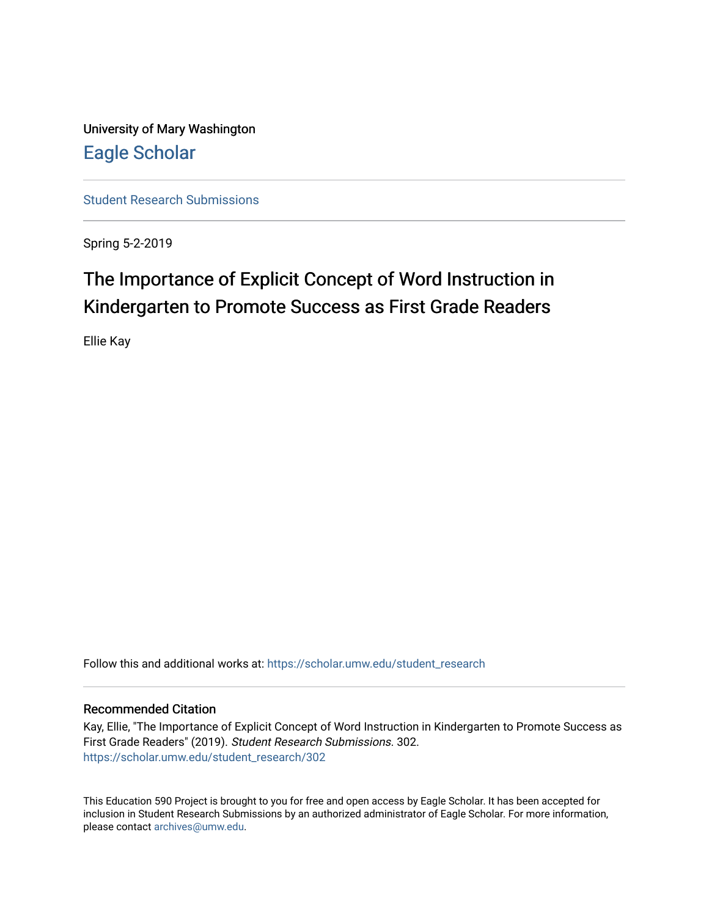University of Mary Washington [Eagle Scholar](https://scholar.umw.edu/) 

[Student Research Submissions](https://scholar.umw.edu/student_research) 

Spring 5-2-2019

# The Importance of Explicit Concept of Word Instruction in Kindergarten to Promote Success as First Grade Readers

Ellie Kay

Follow this and additional works at: [https://scholar.umw.edu/student\\_research](https://scholar.umw.edu/student_research?utm_source=scholar.umw.edu%2Fstudent_research%2F302&utm_medium=PDF&utm_campaign=PDFCoverPages)

#### Recommended Citation

Kay, Ellie, "The Importance of Explicit Concept of Word Instruction in Kindergarten to Promote Success as First Grade Readers" (2019). Student Research Submissions. 302. [https://scholar.umw.edu/student\\_research/302](https://scholar.umw.edu/student_research/302?utm_source=scholar.umw.edu%2Fstudent_research%2F302&utm_medium=PDF&utm_campaign=PDFCoverPages)

This Education 590 Project is brought to you for free and open access by Eagle Scholar. It has been accepted for inclusion in Student Research Submissions by an authorized administrator of Eagle Scholar. For more information, please contact [archives@umw.edu.](mailto:archives@umw.edu)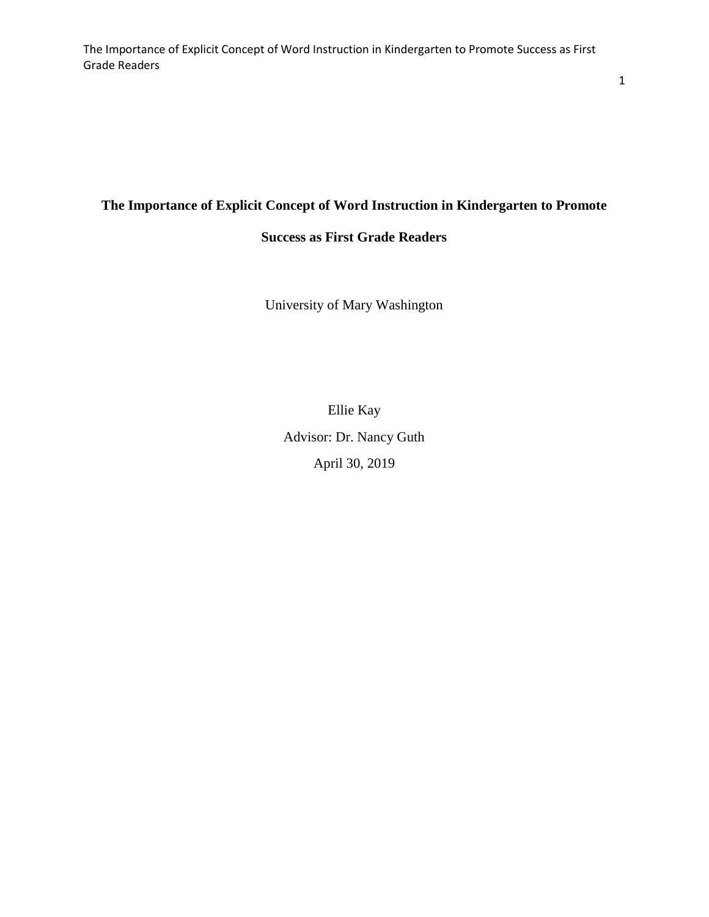# **The Importance of Explicit Concept of Word Instruction in Kindergarten to Promote**

# **Success as First Grade Readers**

University of Mary Washington

Ellie Kay Advisor: Dr. Nancy Guth April 30, 2019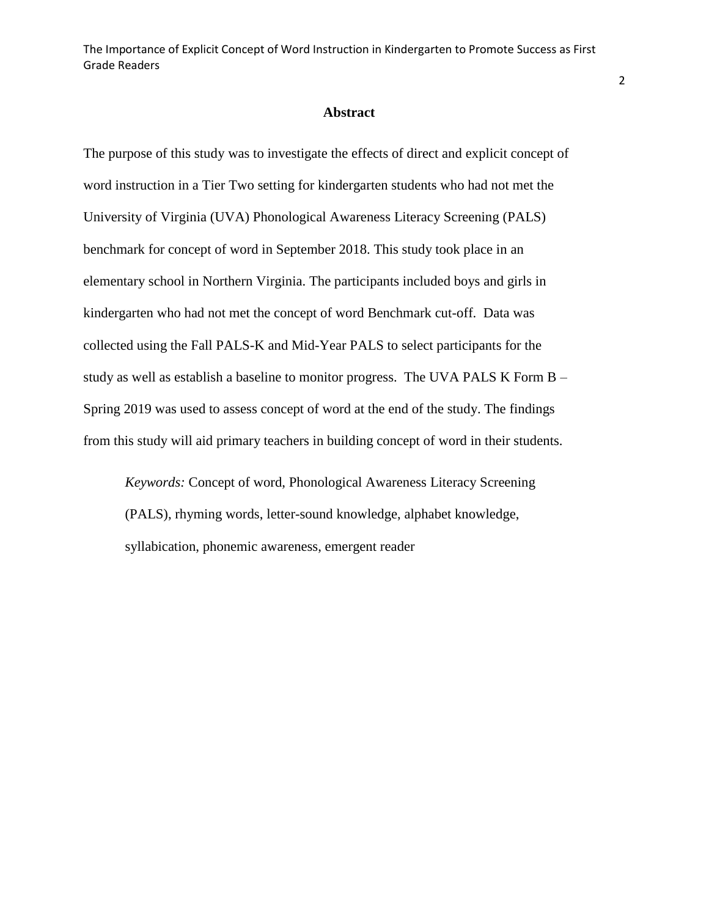#### **Abstract**

The purpose of this study was to investigate the effects of direct and explicit concept of word instruction in a Tier Two setting for kindergarten students who had not met the University of Virginia (UVA) Phonological Awareness Literacy Screening (PALS) benchmark for concept of word in September 2018. This study took place in an elementary school in Northern Virginia. The participants included boys and girls in kindergarten who had not met the concept of word Benchmark cut-off. Data was collected using the Fall PALS-K and Mid-Year PALS to select participants for the study as well as establish a baseline to monitor progress. The UVA PALS K Form B – Spring 2019 was used to assess concept of word at the end of the study. The findings from this study will aid primary teachers in building concept of word in their students.

*Keywords:* Concept of word, Phonological Awareness Literacy Screening (PALS), rhyming words, letter-sound knowledge, alphabet knowledge, syllabication, phonemic awareness, emergent reader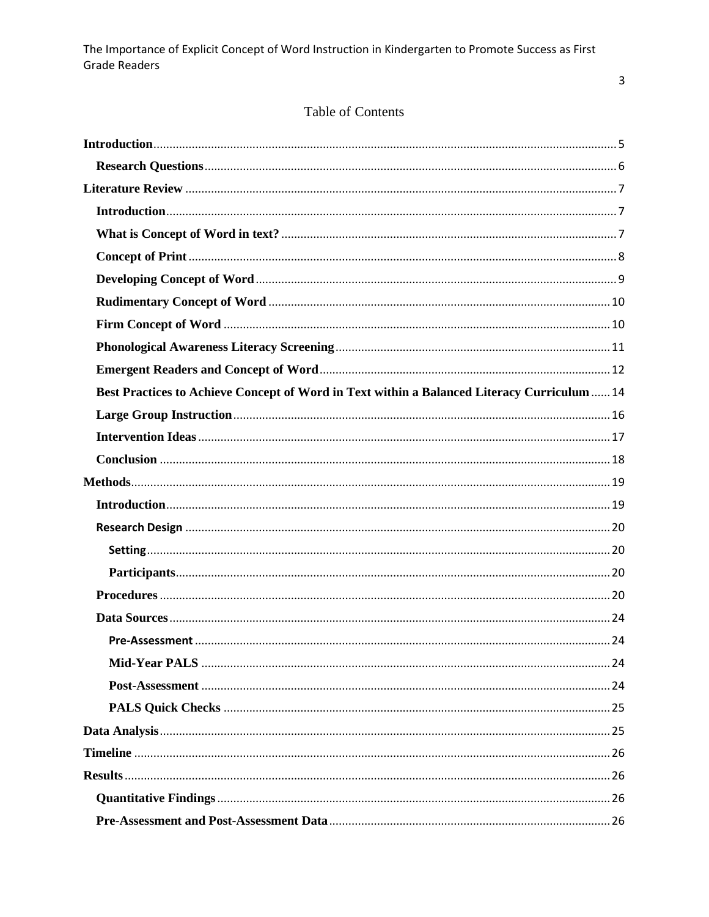# Table of Contents

| Best Practices to Achieve Concept of Word in Text within a Balanced Literacy Curriculum  14 |  |
|---------------------------------------------------------------------------------------------|--|
|                                                                                             |  |
|                                                                                             |  |
|                                                                                             |  |
|                                                                                             |  |
|                                                                                             |  |
|                                                                                             |  |
|                                                                                             |  |
|                                                                                             |  |
|                                                                                             |  |
|                                                                                             |  |
|                                                                                             |  |
|                                                                                             |  |
|                                                                                             |  |
|                                                                                             |  |
|                                                                                             |  |
|                                                                                             |  |
|                                                                                             |  |
|                                                                                             |  |
|                                                                                             |  |

 $\overline{3}$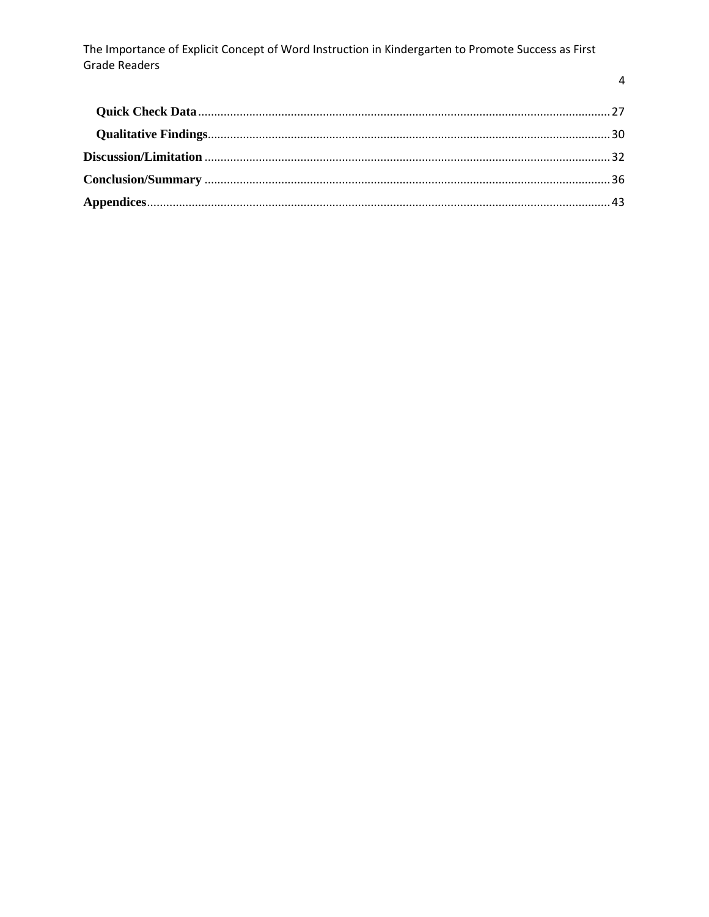$\overline{4}$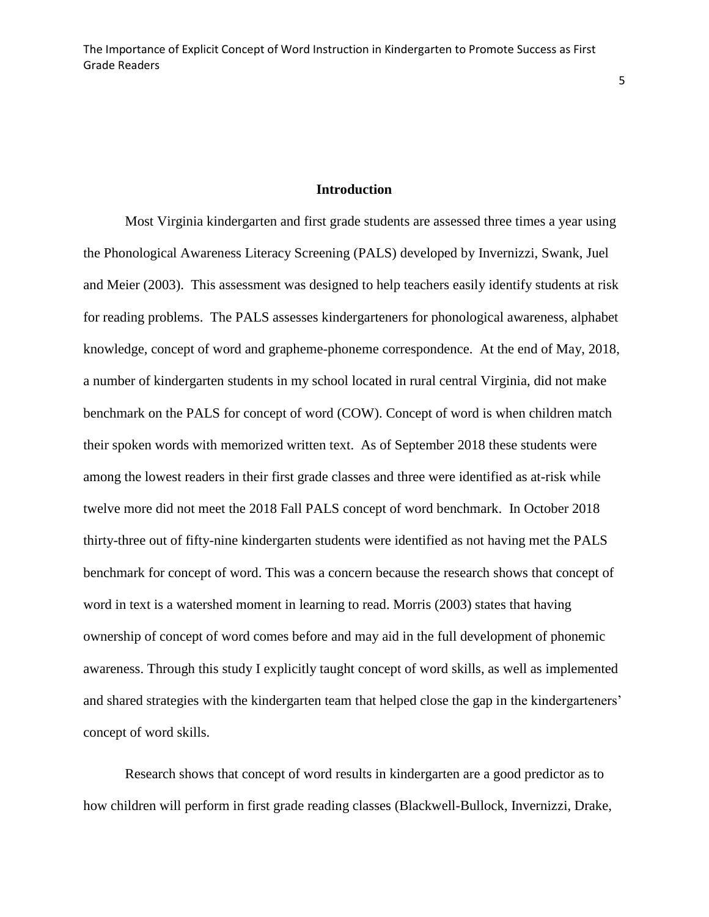#### **Introduction**

<span id="page-5-0"></span>Most Virginia kindergarten and first grade students are assessed three times a year using the Phonological Awareness Literacy Screening (PALS) developed by Invernizzi, Swank, Juel and Meier (2003). This assessment was designed to help teachers easily identify students at risk for reading problems. The PALS assesses kindergarteners for phonological awareness, alphabet knowledge, concept of word and grapheme-phoneme correspondence. At the end of May, 2018, a number of kindergarten students in my school located in rural central Virginia, did not make benchmark on the PALS for concept of word (COW). Concept of word is when children match their spoken words with memorized written text. As of September 2018 these students were among the lowest readers in their first grade classes and three were identified as at-risk while twelve more did not meet the 2018 Fall PALS concept of word benchmark. In October 2018 thirty-three out of fifty-nine kindergarten students were identified as not having met the PALS benchmark for concept of word. This was a concern because the research shows that concept of word in text is a watershed moment in learning to read. Morris (2003) states that having ownership of concept of word comes before and may aid in the full development of phonemic awareness. Through this study I explicitly taught concept of word skills, as well as implemented and shared strategies with the kindergarten team that helped close the gap in the kindergarteners' concept of word skills.

Research shows that concept of word results in kindergarten are a good predictor as to how children will perform in first grade reading classes (Blackwell-Bullock, Invernizzi, Drake,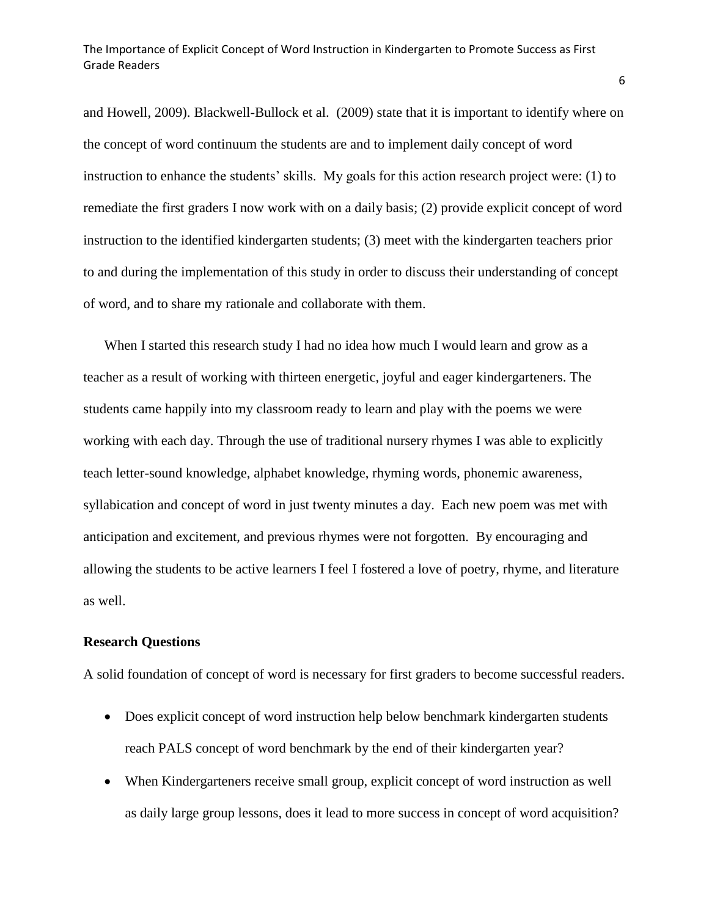and Howell, 2009). Blackwell-Bullock et al. (2009) state that it is important to identify where on the concept of word continuum the students are and to implement daily concept of word instruction to enhance the students' skills. My goals for this action research project were: (1) to remediate the first graders I now work with on a daily basis; (2) provide explicit concept of word instruction to the identified kindergarten students; (3) meet with the kindergarten teachers prior to and during the implementation of this study in order to discuss their understanding of concept of word, and to share my rationale and collaborate with them.

When I started this research study I had no idea how much I would learn and grow as a teacher as a result of working with thirteen energetic, joyful and eager kindergarteners. The students came happily into my classroom ready to learn and play with the poems we were working with each day. Through the use of traditional nursery rhymes I was able to explicitly teach letter-sound knowledge, alphabet knowledge, rhyming words, phonemic awareness, syllabication and concept of word in just twenty minutes a day. Each new poem was met with anticipation and excitement, and previous rhymes were not forgotten. By encouraging and allowing the students to be active learners I feel I fostered a love of poetry, rhyme, and literature as well.

### <span id="page-6-0"></span>**Research Questions**

A solid foundation of concept of word is necessary for first graders to become successful readers.

- Does explicit concept of word instruction help below benchmark kindergarten students reach PALS concept of word benchmark by the end of their kindergarten year?
- When Kindergarteners receive small group, explicit concept of word instruction as well as daily large group lessons, does it lead to more success in concept of word acquisition?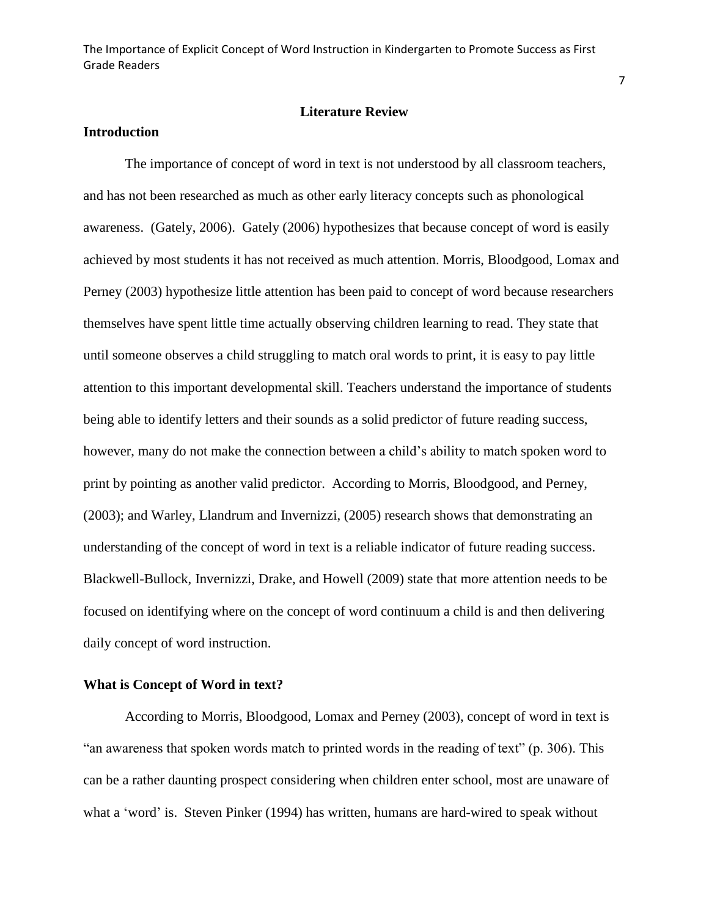### **Literature Review**

#### <span id="page-7-1"></span><span id="page-7-0"></span>**Introduction**

The importance of concept of word in text is not understood by all classroom teachers, and has not been researched as much as other early literacy concepts such as phonological awareness. (Gately, 2006). Gately (2006) hypothesizes that because concept of word is easily achieved by most students it has not received as much attention. Morris, Bloodgood, Lomax and Perney (2003) hypothesize little attention has been paid to concept of word because researchers themselves have spent little time actually observing children learning to read. They state that until someone observes a child struggling to match oral words to print, it is easy to pay little attention to this important developmental skill. Teachers understand the importance of students being able to identify letters and their sounds as a solid predictor of future reading success, however, many do not make the connection between a child's ability to match spoken word to print by pointing as another valid predictor. According to Morris, Bloodgood, and Perney, (2003); and Warley, Llandrum and Invernizzi, (2005) research shows that demonstrating an understanding of the concept of word in text is a reliable indicator of future reading success. Blackwell-Bullock, Invernizzi, Drake, and Howell (2009) state that more attention needs to be focused on identifying where on the concept of word continuum a child is and then delivering daily concept of word instruction.

### <span id="page-7-2"></span>**What is Concept of Word in text?**

According to Morris, Bloodgood, Lomax and Perney (2003), concept of word in text is "an awareness that spoken words match to printed words in the reading of text" (p. 306). This can be a rather daunting prospect considering when children enter school, most are unaware of what a 'word' is. Steven Pinker (1994) has written, humans are hard-wired to speak without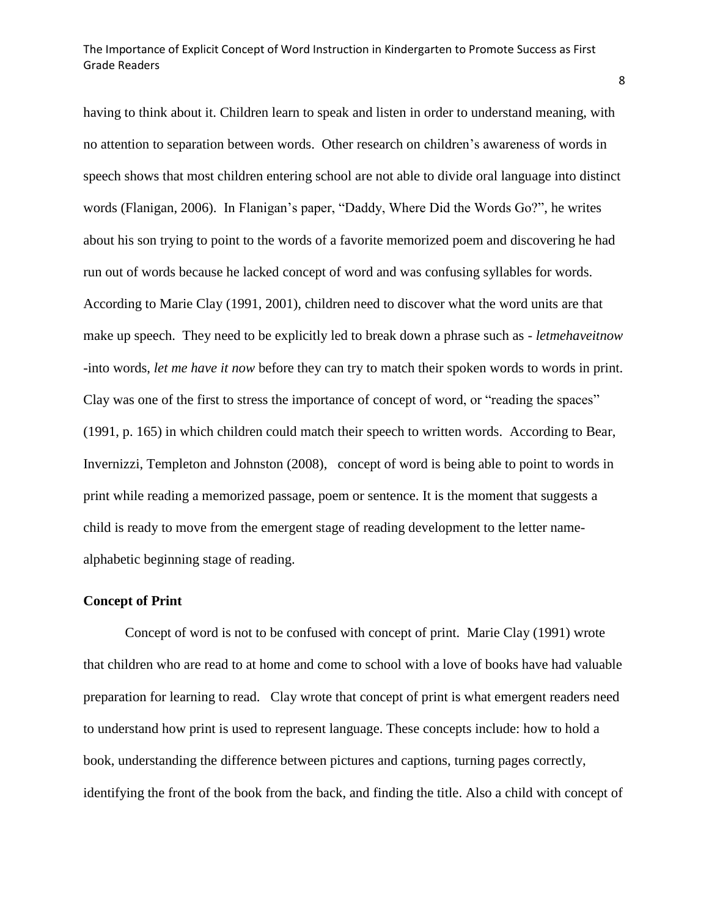having to think about it. Children learn to speak and listen in order to understand meaning, with no attention to separation between words. Other research on children's awareness of words in speech shows that most children entering school are not able to divide oral language into distinct words (Flanigan, 2006). In Flanigan's paper, "Daddy, Where Did the Words Go?", he writes about his son trying to point to the words of a favorite memorized poem and discovering he had run out of words because he lacked concept of word and was confusing syllables for words. According to Marie Clay (1991, 2001), children need to discover what the word units are that make up speech. They need to be explicitly led to break down a phrase such as - *letmehaveitnow* -into words, *let me have it now* before they can try to match their spoken words to words in print. Clay was one of the first to stress the importance of concept of word, or "reading the spaces" (1991, p. 165) in which children could match their speech to written words. According to Bear, Invernizzi, Templeton and Johnston (2008), concept of word is being able to point to words in print while reading a memorized passage, poem or sentence. It is the moment that suggests a child is ready to move from the emergent stage of reading development to the letter namealphabetic beginning stage of reading.

#### <span id="page-8-0"></span>**Concept of Print**

Concept of word is not to be confused with concept of print. Marie Clay (1991) wrote that children who are read to at home and come to school with a love of books have had valuable preparation for learning to read. Clay wrote that concept of print is what emergent readers need to understand how print is used to represent language. These concepts include: how to hold a book, understanding the difference between pictures and captions, turning pages correctly, identifying the front of the book from the back, and finding the title. Also a child with concept of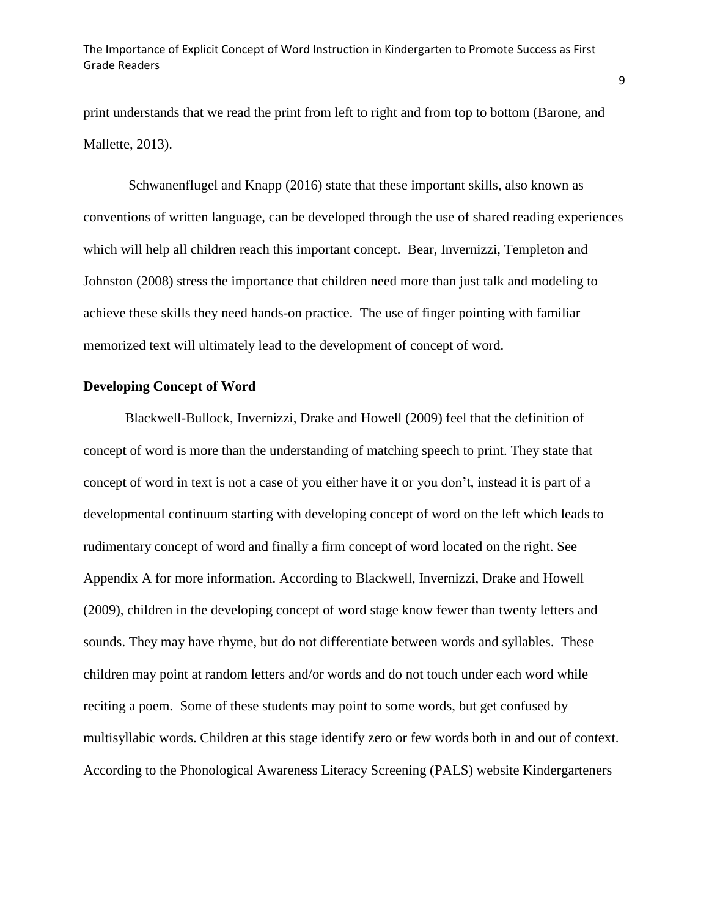print understands that we read the print from left to right and from top to bottom (Barone, and Mallette, 2013).

Schwanenflugel and Knapp (2016) state that these important skills, also known as conventions of written language, can be developed through the use of shared reading experiences which will help all children reach this important concept. Bear, Invernizzi, Templeton and Johnston (2008) stress the importance that children need more than just talk and modeling to achieve these skills they need hands-on practice. The use of finger pointing with familiar memorized text will ultimately lead to the development of concept of word.

#### <span id="page-9-0"></span>**Developing Concept of Word**

Blackwell-Bullock, Invernizzi, Drake and Howell (2009) feel that the definition of concept of word is more than the understanding of matching speech to print. They state that concept of word in text is not a case of you either have it or you don't, instead it is part of a developmental continuum starting with developing concept of word on the left which leads to rudimentary concept of word and finally a firm concept of word located on the right. See Appendix A for more information. According to Blackwell, Invernizzi, Drake and Howell (2009), children in the developing concept of word stage know fewer than twenty letters and sounds. They may have rhyme, but do not differentiate between words and syllables. These children may point at random letters and/or words and do not touch under each word while reciting a poem. Some of these students may point to some words, but get confused by multisyllabic words. Children at this stage identify zero or few words both in and out of context. According to the Phonological Awareness Literacy Screening (PALS) website Kindergarteners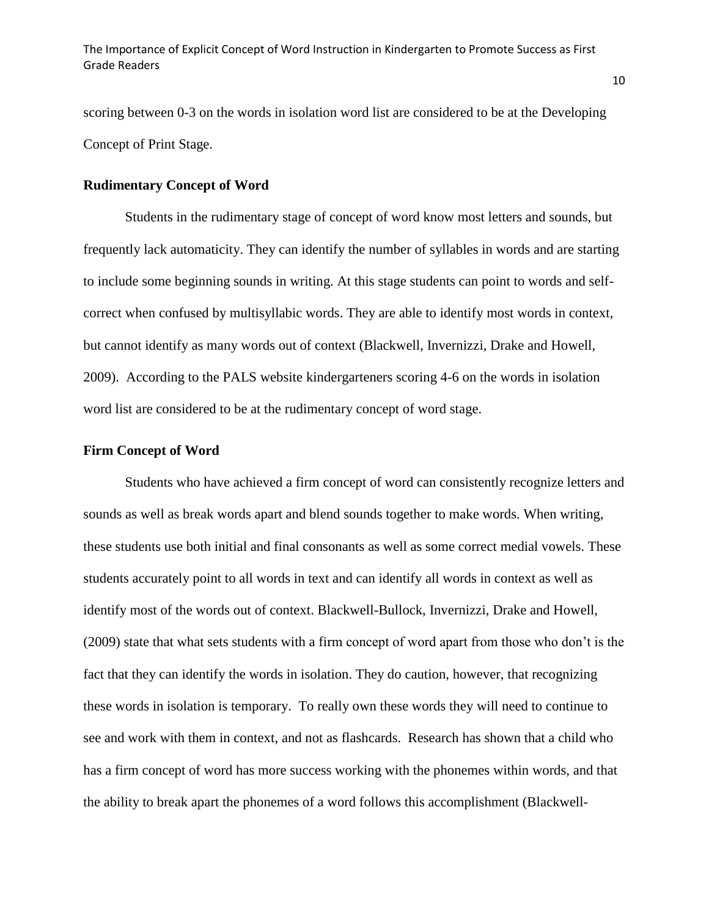scoring between 0-3 on the words in isolation word list are considered to be at the Developing Concept of Print Stage.

### <span id="page-10-0"></span>**Rudimentary Concept of Word**

Students in the rudimentary stage of concept of word know most letters and sounds, but frequently lack automaticity. They can identify the number of syllables in words and are starting to include some beginning sounds in writing. At this stage students can point to words and selfcorrect when confused by multisyllabic words. They are able to identify most words in context, but cannot identify as many words out of context (Blackwell, Invernizzi, Drake and Howell, 2009). According to the PALS website kindergarteners scoring 4-6 on the words in isolation word list are considered to be at the rudimentary concept of word stage.

#### <span id="page-10-1"></span>**Firm Concept of Word**

Students who have achieved a firm concept of word can consistently recognize letters and sounds as well as break words apart and blend sounds together to make words. When writing, these students use both initial and final consonants as well as some correct medial vowels. These students accurately point to all words in text and can identify all words in context as well as identify most of the words out of context. Blackwell-Bullock, Invernizzi, Drake and Howell, (2009) state that what sets students with a firm concept of word apart from those who don't is the fact that they can identify the words in isolation. They do caution, however, that recognizing these words in isolation is temporary. To really own these words they will need to continue to see and work with them in context, and not as flashcards. Research has shown that a child who has a firm concept of word has more success working with the phonemes within words, and that the ability to break apart the phonemes of a word follows this accomplishment (Blackwell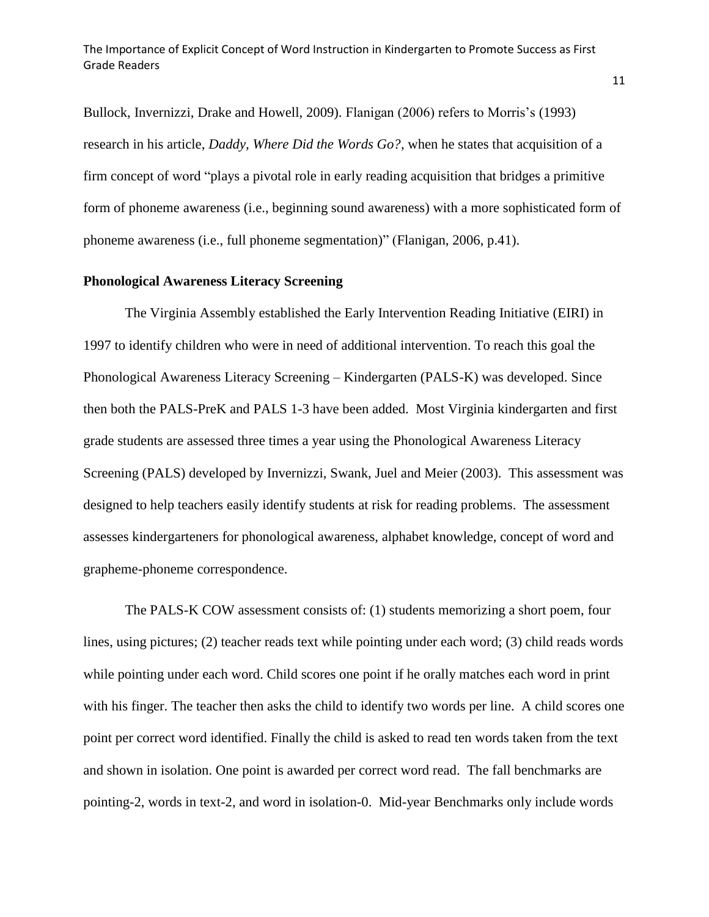Bullock, Invernizzi, Drake and Howell, 2009). Flanigan (2006) refers to Morris's (1993) research in his article, *Daddy, Where Did the Words Go?*, when he states that acquisition of a firm concept of word "plays a pivotal role in early reading acquisition that bridges a primitive form of phoneme awareness (i.e., beginning sound awareness) with a more sophisticated form of phoneme awareness (i.e., full phoneme segmentation)" (Flanigan, 2006, p.41).

### <span id="page-11-0"></span>**Phonological Awareness Literacy Screening**

The Virginia Assembly established the Early Intervention Reading Initiative (EIRI) in 1997 to identify children who were in need of additional intervention. To reach this goal the Phonological Awareness Literacy Screening – Kindergarten (PALS-K) was developed. Since then both the PALS-PreK and PALS 1-3 have been added. Most Virginia kindergarten and first grade students are assessed three times a year using the Phonological Awareness Literacy Screening (PALS) developed by Invernizzi, Swank, Juel and Meier (2003). This assessment was designed to help teachers easily identify students at risk for reading problems. The assessment assesses kindergarteners for phonological awareness, alphabet knowledge, concept of word and grapheme-phoneme correspondence.

The PALS-K COW assessment consists of: (1) students memorizing a short poem, four lines, using pictures; (2) teacher reads text while pointing under each word; (3) child reads words while pointing under each word. Child scores one point if he orally matches each word in print with his finger. The teacher then asks the child to identify two words per line. A child scores one point per correct word identified. Finally the child is asked to read ten words taken from the text and shown in isolation. One point is awarded per correct word read. The fall benchmarks are pointing-2, words in text-2, and word in isolation-0. Mid-year Benchmarks only include words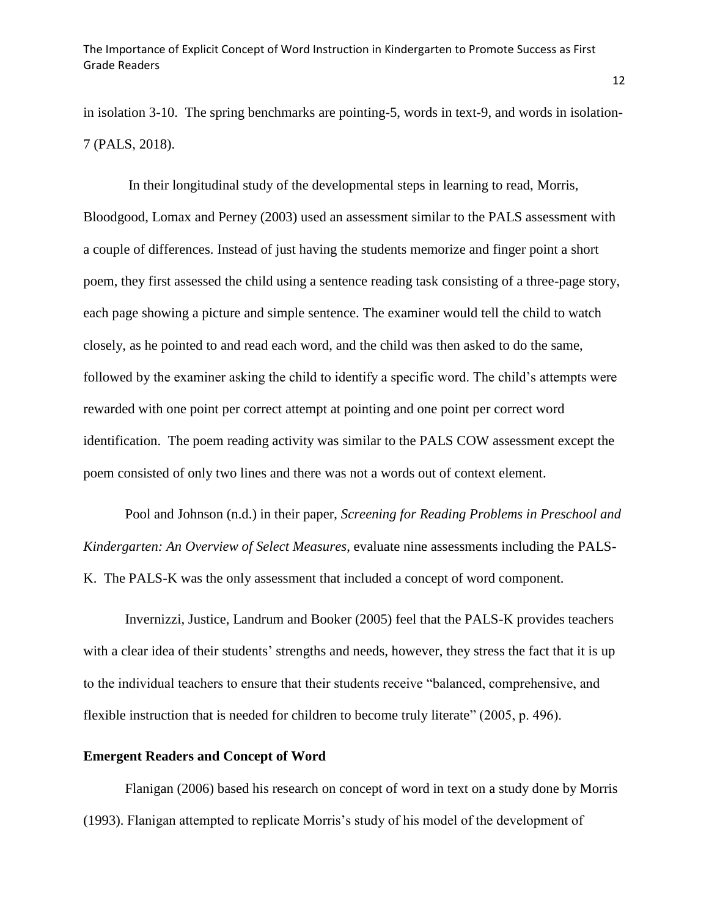in isolation 3-10. The spring benchmarks are pointing-5, words in text-9, and words in isolation-7 (PALS, 2018).

In their longitudinal study of the developmental steps in learning to read, Morris, Bloodgood, Lomax and Perney (2003) used an assessment similar to the PALS assessment with a couple of differences. Instead of just having the students memorize and finger point a short poem, they first assessed the child using a sentence reading task consisting of a three-page story, each page showing a picture and simple sentence. The examiner would tell the child to watch closely, as he pointed to and read each word, and the child was then asked to do the same, followed by the examiner asking the child to identify a specific word. The child's attempts were rewarded with one point per correct attempt at pointing and one point per correct word identification. The poem reading activity was similar to the PALS COW assessment except the poem consisted of only two lines and there was not a words out of context element.

Pool and Johnson (n.d.) in their paper, *Screening for Reading Problems in Preschool and Kindergarten: An Overview of Select Measures*, evaluate nine assessments including the PALS-K. The PALS-K was the only assessment that included a concept of word component.

Invernizzi, Justice, Landrum and Booker (2005) feel that the PALS-K provides teachers with a clear idea of their students' strengths and needs, however, they stress the fact that it is up to the individual teachers to ensure that their students receive "balanced, comprehensive, and flexible instruction that is needed for children to become truly literate" (2005, p. 496).

#### <span id="page-12-0"></span>**Emergent Readers and Concept of Word**

Flanigan (2006) based his research on concept of word in text on a study done by Morris (1993). Flanigan attempted to replicate Morris's study of his model of the development of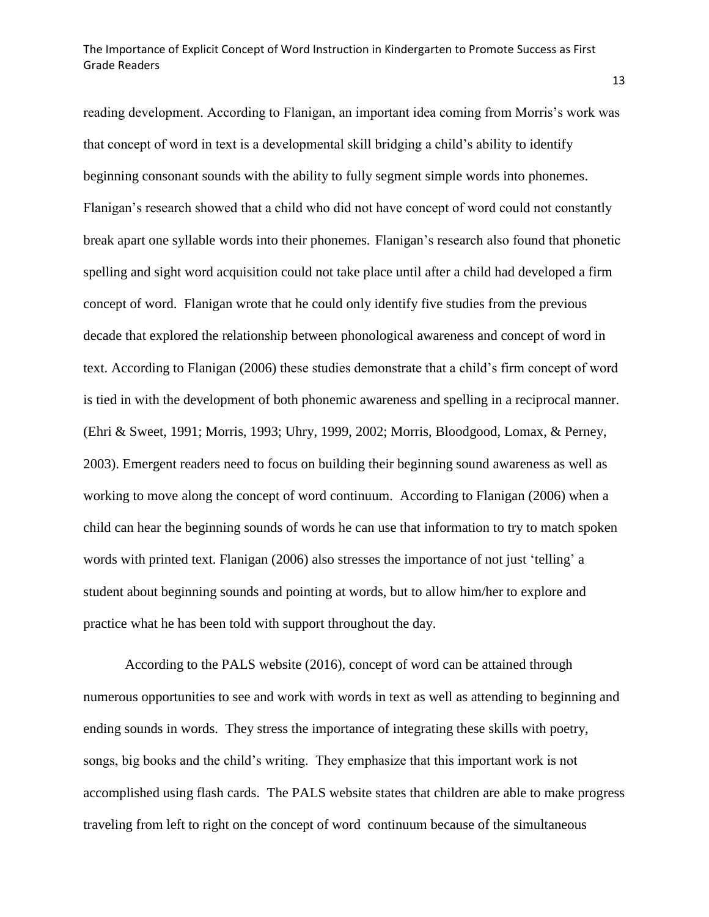reading development. According to Flanigan, an important idea coming from Morris's work was that concept of word in text is a developmental skill bridging a child's ability to identify beginning consonant sounds with the ability to fully segment simple words into phonemes. Flanigan's research showed that a child who did not have concept of word could not constantly break apart one syllable words into their phonemes. Flanigan's research also found that phonetic spelling and sight word acquisition could not take place until after a child had developed a firm concept of word. Flanigan wrote that he could only identify five studies from the previous decade that explored the relationship between phonological awareness and concept of word in text. According to Flanigan (2006) these studies demonstrate that a child's firm concept of word is tied in with the development of both phonemic awareness and spelling in a reciprocal manner. (Ehri & Sweet, 1991; Morris, 1993; Uhry, 1999, 2002; Morris, Bloodgood, Lomax, & Perney, 2003). Emergent readers need to focus on building their beginning sound awareness as well as working to move along the concept of word continuum. According to Flanigan (2006) when a child can hear the beginning sounds of words he can use that information to try to match spoken words with printed text. Flanigan (2006) also stresses the importance of not just 'telling' a student about beginning sounds and pointing at words, but to allow him/her to explore and practice what he has been told with support throughout the day.

According to the PALS website (2016), concept of word can be attained through numerous opportunities to see and work with words in text as well as attending to beginning and ending sounds in words. They stress the importance of integrating these skills with poetry, songs, big books and the child's writing. They emphasize that this important work is not accomplished using flash cards. The PALS website states that children are able to make progress traveling from left to right on the concept of word continuum because of the simultaneous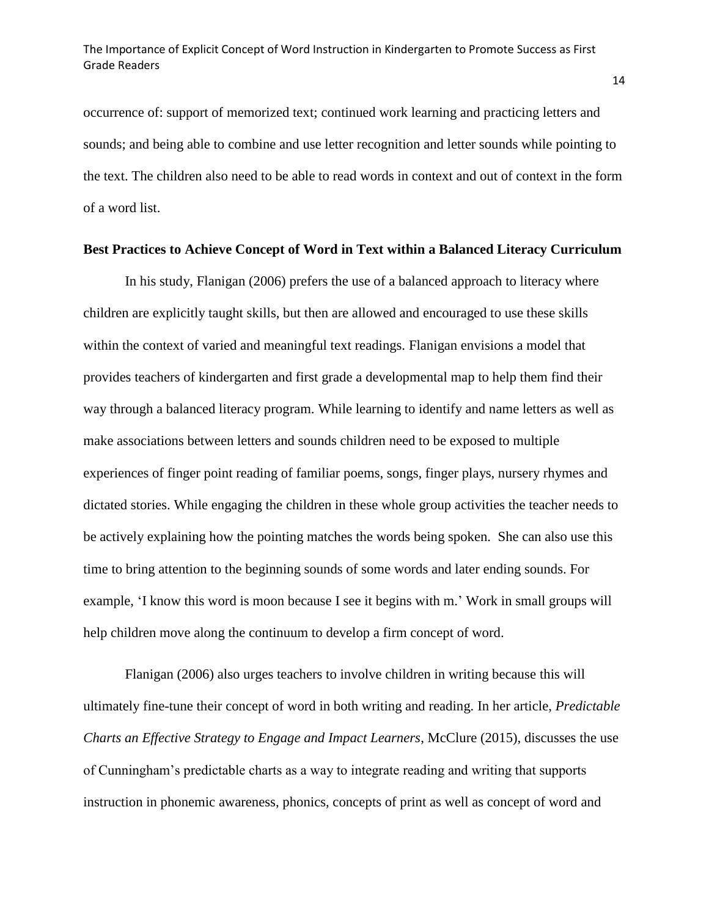occurrence of: support of memorized text; continued work learning and practicing letters and sounds; and being able to combine and use letter recognition and letter sounds while pointing to the text. The children also need to be able to read words in context and out of context in the form of a word list.

#### <span id="page-14-0"></span>**Best Practices to Achieve Concept of Word in Text within a Balanced Literacy Curriculum**

In his study, Flanigan (2006) prefers the use of a balanced approach to literacy where children are explicitly taught skills, but then are allowed and encouraged to use these skills within the context of varied and meaningful text readings. Flanigan envisions a model that provides teachers of kindergarten and first grade a developmental map to help them find their way through a balanced literacy program. While learning to identify and name letters as well as make associations between letters and sounds children need to be exposed to multiple experiences of finger point reading of familiar poems, songs, finger plays, nursery rhymes and dictated stories. While engaging the children in these whole group activities the teacher needs to be actively explaining how the pointing matches the words being spoken. She can also use this time to bring attention to the beginning sounds of some words and later ending sounds. For example, 'I know this word is moon because I see it begins with m.' Work in small groups will help children move along the continuum to develop a firm concept of word.

Flanigan (2006) also urges teachers to involve children in writing because this will ultimately fine-tune their concept of word in both writing and reading. In her article, *Predictable Charts an Effective Strategy to Engage and Impact Learners*, McClure (2015), discusses the use of Cunningham's predictable charts as a way to integrate reading and writing that supports instruction in phonemic awareness, phonics, concepts of print as well as concept of word and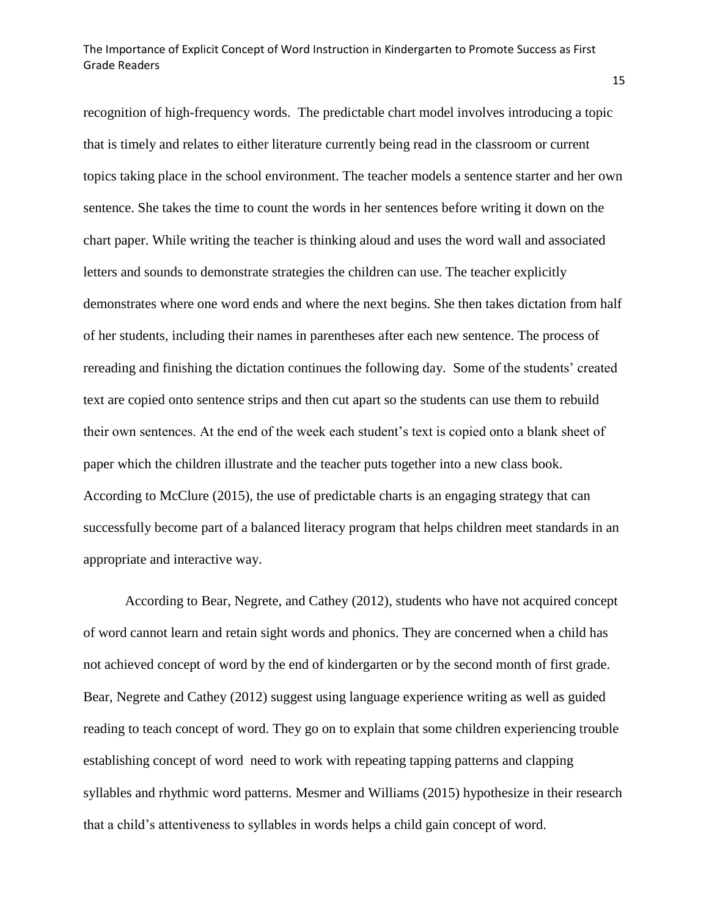recognition of high-frequency words. The predictable chart model involves introducing a topic that is timely and relates to either literature currently being read in the classroom or current topics taking place in the school environment. The teacher models a sentence starter and her own sentence. She takes the time to count the words in her sentences before writing it down on the chart paper. While writing the teacher is thinking aloud and uses the word wall and associated letters and sounds to demonstrate strategies the children can use. The teacher explicitly demonstrates where one word ends and where the next begins. She then takes dictation from half of her students, including their names in parentheses after each new sentence. The process of rereading and finishing the dictation continues the following day. Some of the students' created text are copied onto sentence strips and then cut apart so the students can use them to rebuild their own sentences. At the end of the week each student's text is copied onto a blank sheet of paper which the children illustrate and the teacher puts together into a new class book. According to McClure (2015), the use of predictable charts is an engaging strategy that can successfully become part of a balanced literacy program that helps children meet standards in an appropriate and interactive way.

According to Bear, Negrete, and Cathey (2012), students who have not acquired concept of word cannot learn and retain sight words and phonics. They are concerned when a child has not achieved concept of word by the end of kindergarten or by the second month of first grade. Bear, Negrete and Cathey (2012) suggest using language experience writing as well as guided reading to teach concept of word. They go on to explain that some children experiencing trouble establishing concept of word need to work with repeating tapping patterns and clapping syllables and rhythmic word patterns. Mesmer and Williams (2015) hypothesize in their research that a child's attentiveness to syllables in words helps a child gain concept of word.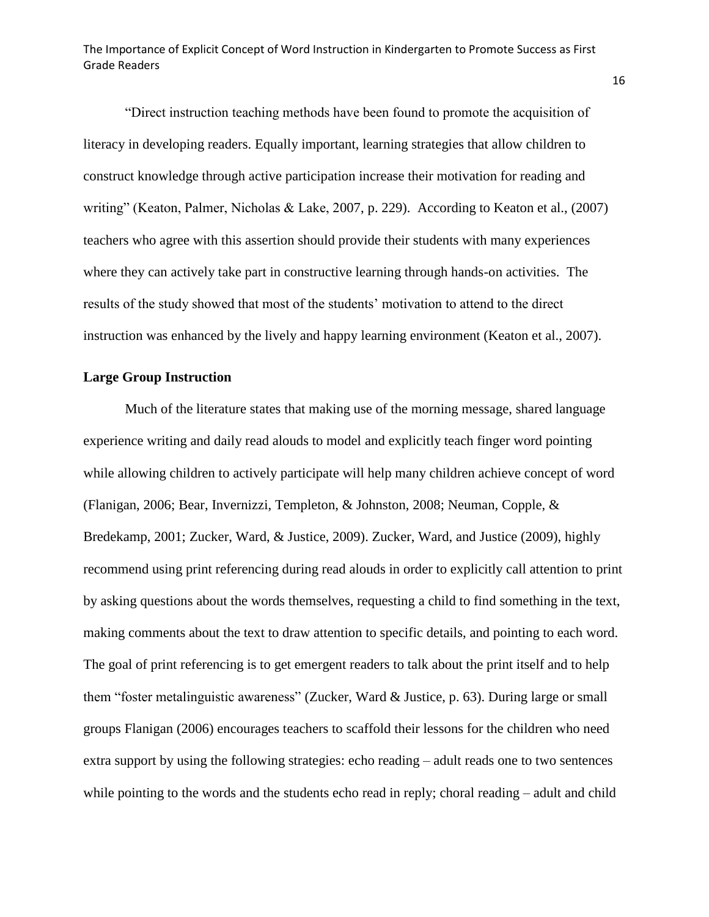"Direct instruction teaching methods have been found to promote the acquisition of literacy in developing readers. Equally important, learning strategies that allow children to construct knowledge through active participation increase their motivation for reading and writing" (Keaton, Palmer, Nicholas & Lake, 2007, p. 229). According to Keaton et al., (2007) teachers who agree with this assertion should provide their students with many experiences where they can actively take part in constructive learning through hands-on activities. The results of the study showed that most of the students' motivation to attend to the direct instruction was enhanced by the lively and happy learning environment (Keaton et al., 2007).

### <span id="page-16-0"></span>**Large Group Instruction**

Much of the literature states that making use of the morning message, shared language experience writing and daily read alouds to model and explicitly teach finger word pointing while allowing children to actively participate will help many children achieve concept of word (Flanigan, 2006; Bear, Invernizzi, Templeton, & Johnston, 2008; Neuman, Copple, & Bredekamp, 2001; Zucker, Ward, & Justice, 2009). Zucker, Ward, and Justice (2009), highly recommend using print referencing during read alouds in order to explicitly call attention to print by asking questions about the words themselves, requesting a child to find something in the text, making comments about the text to draw attention to specific details, and pointing to each word. The goal of print referencing is to get emergent readers to talk about the print itself and to help them "foster metalinguistic awareness" (Zucker, Ward & Justice, p. 63). During large or small groups Flanigan (2006) encourages teachers to scaffold their lessons for the children who need extra support by using the following strategies: echo reading – adult reads one to two sentences while pointing to the words and the students echo read in reply; choral reading – adult and child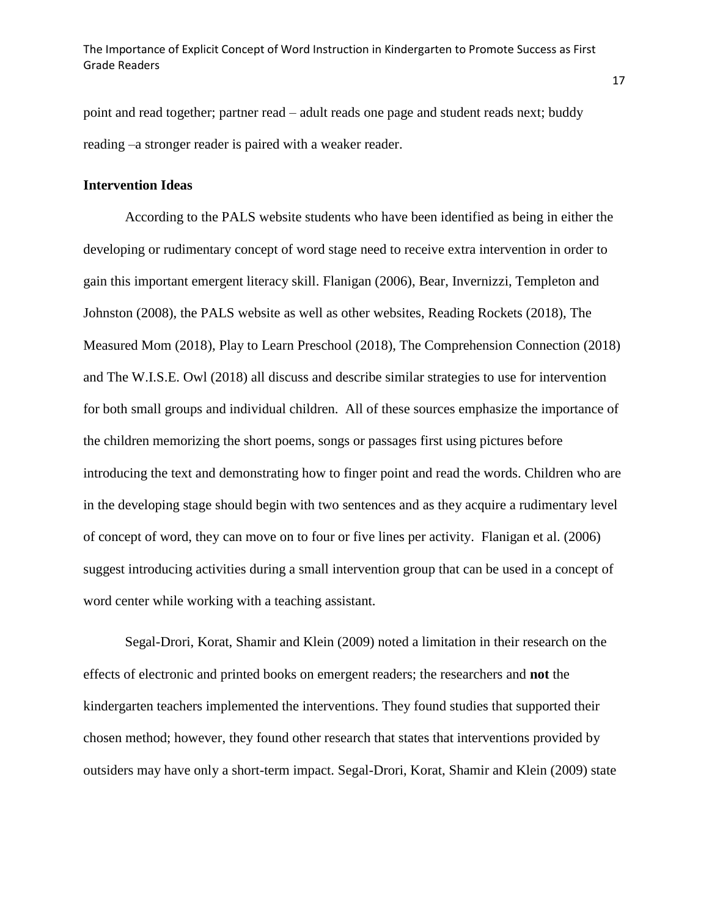point and read together; partner read – adult reads one page and student reads next; buddy reading –a stronger reader is paired with a weaker reader.

### <span id="page-17-0"></span>**Intervention Ideas**

According to the PALS website students who have been identified as being in either the developing or rudimentary concept of word stage need to receive extra intervention in order to gain this important emergent literacy skill. Flanigan (2006), Bear, Invernizzi, Templeton and Johnston (2008), the PALS website as well as other websites, Reading Rockets (2018), The Measured Mom (2018), Play to Learn Preschool (2018), The Comprehension Connection (2018) and The W.I.S.E. Owl (2018) all discuss and describe similar strategies to use for intervention for both small groups and individual children. All of these sources emphasize the importance of the children memorizing the short poems, songs or passages first using pictures before introducing the text and demonstrating how to finger point and read the words. Children who are in the developing stage should begin with two sentences and as they acquire a rudimentary level of concept of word, they can move on to four or five lines per activity. Flanigan et al. (2006) suggest introducing activities during a small intervention group that can be used in a concept of word center while working with a teaching assistant.

Segal-Drori, Korat, Shamir and Klein (2009) noted a limitation in their research on the effects of electronic and printed books on emergent readers; the researchers and **not** the kindergarten teachers implemented the interventions. They found studies that supported their chosen method; however, they found other research that states that interventions provided by outsiders may have only a short-term impact. Segal-Drori, Korat, Shamir and Klein (2009) state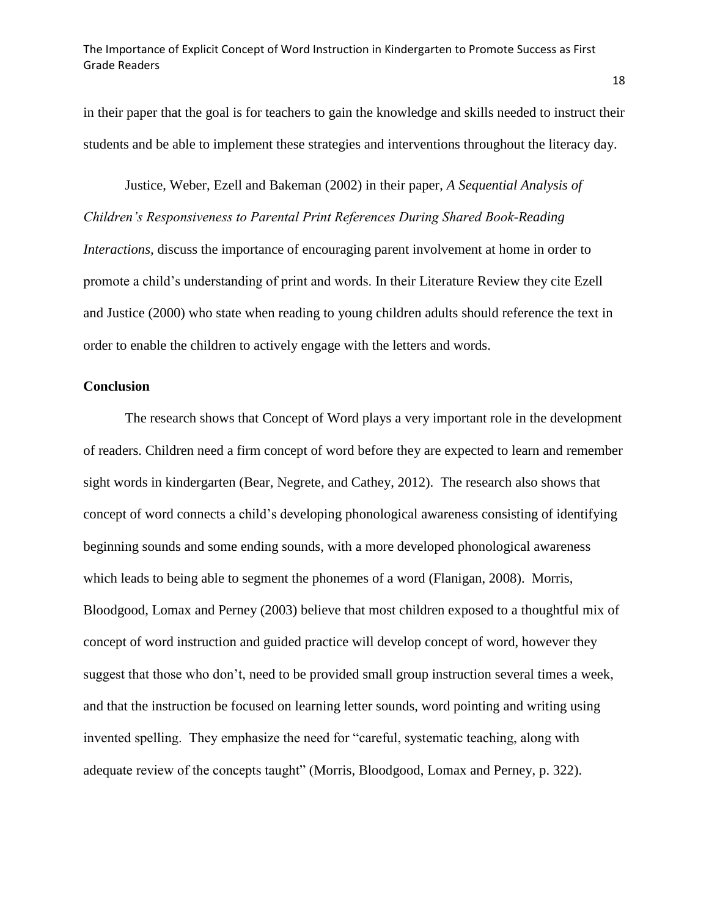in their paper that the goal is for teachers to gain the knowledge and skills needed to instruct their students and be able to implement these strategies and interventions throughout the literacy day.

Justice, Weber, Ezell and Bakeman (2002) in their paper, *A Sequential Analysis of Children's Responsiveness to Parental Print References During Shared Book-Reading Interactions*, discuss the importance of encouraging parent involvement at home in order to promote a child's understanding of print and words. In their Literature Review they cite Ezell and Justice (2000) who state when reading to young children adults should reference the text in order to enable the children to actively engage with the letters and words.

### <span id="page-18-0"></span>**Conclusion**

The research shows that Concept of Word plays a very important role in the development of readers. Children need a firm concept of word before they are expected to learn and remember sight words in kindergarten (Bear, Negrete, and Cathey, 2012). The research also shows that concept of word connects a child's developing phonological awareness consisting of identifying beginning sounds and some ending sounds, with a more developed phonological awareness which leads to being able to segment the phonemes of a word (Flanigan, 2008). Morris, Bloodgood, Lomax and Perney (2003) believe that most children exposed to a thoughtful mix of concept of word instruction and guided practice will develop concept of word, however they suggest that those who don't, need to be provided small group instruction several times a week, and that the instruction be focused on learning letter sounds, word pointing and writing using invented spelling. They emphasize the need for "careful, systematic teaching, along with adequate review of the concepts taught" (Morris, Bloodgood, Lomax and Perney, p. 322).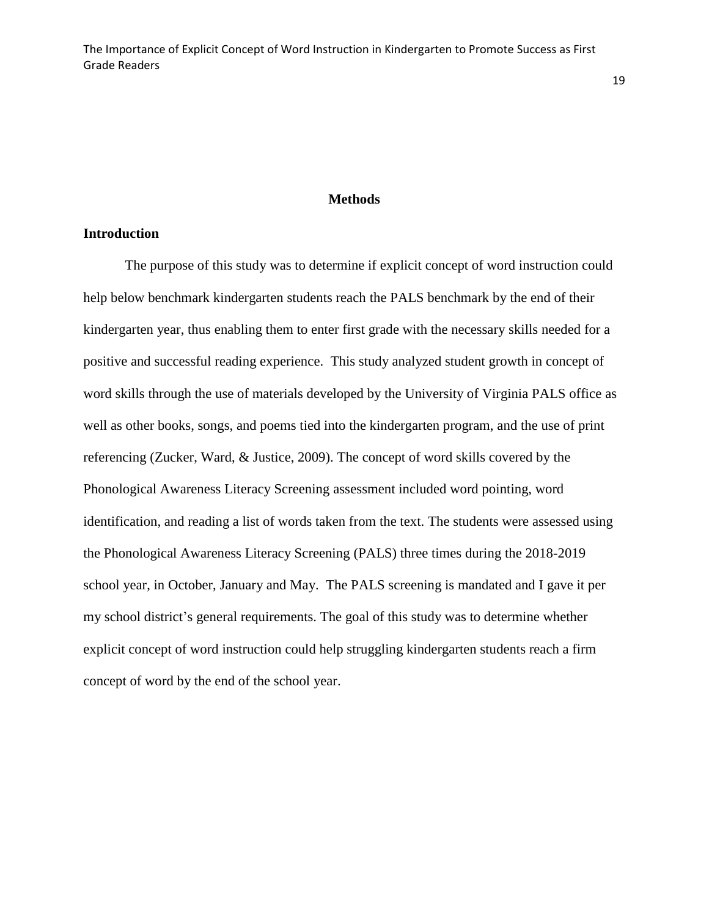### **Methods**

#### <span id="page-19-1"></span><span id="page-19-0"></span>**Introduction**

The purpose of this study was to determine if explicit concept of word instruction could help below benchmark kindergarten students reach the PALS benchmark by the end of their kindergarten year, thus enabling them to enter first grade with the necessary skills needed for a positive and successful reading experience. This study analyzed student growth in concept of word skills through the use of materials developed by the University of Virginia PALS office as well as other books, songs, and poems tied into the kindergarten program, and the use of print referencing (Zucker, Ward, & Justice, 2009). The concept of word skills covered by the Phonological Awareness Literacy Screening assessment included word pointing, word identification, and reading a list of words taken from the text. The students were assessed using the Phonological Awareness Literacy Screening (PALS) three times during the 2018-2019 school year, in October, January and May. The PALS screening is mandated and I gave it per my school district's general requirements. The goal of this study was to determine whether explicit concept of word instruction could help struggling kindergarten students reach a firm concept of word by the end of the school year.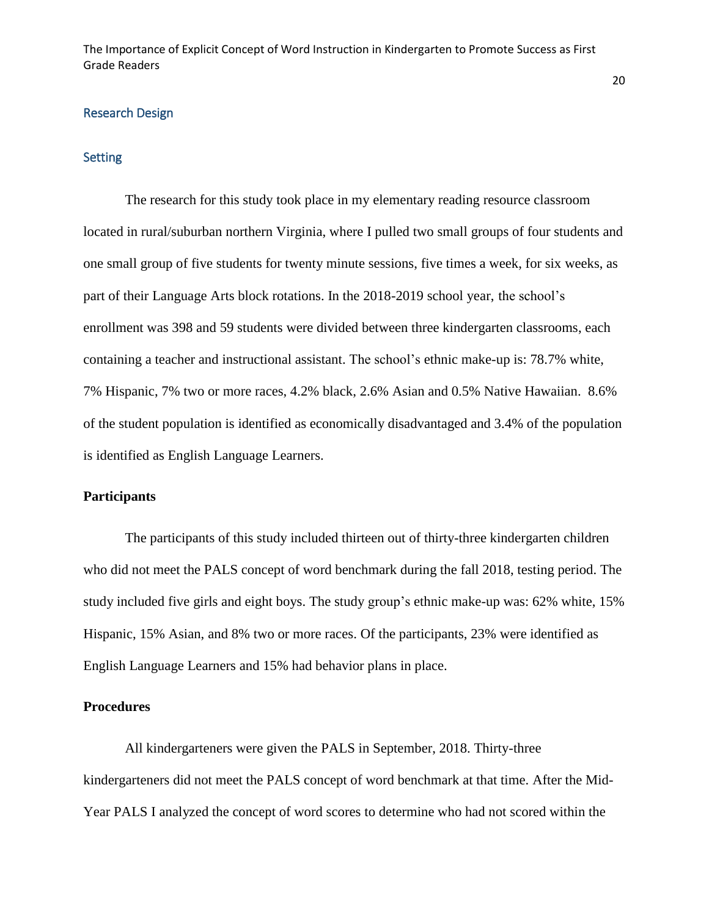#### <span id="page-20-0"></span>Research Design

#### <span id="page-20-1"></span>Setting

The research for this study took place in my elementary reading resource classroom located in rural/suburban northern Virginia, where I pulled two small groups of four students and one small group of five students for twenty minute sessions, five times a week, for six weeks, as part of their Language Arts block rotations. In the 2018-2019 school year, the school's enrollment was 398 and 59 students were divided between three kindergarten classrooms, each containing a teacher and instructional assistant. The school's ethnic make-up is: 78.7% white, 7% Hispanic, 7% two or more races, 4.2% black, 2.6% Asian and 0.5% Native Hawaiian. 8.6% of the student population is identified as economically disadvantaged and 3.4% of the population is identified as English Language Learners.

### <span id="page-20-2"></span>**Participants**

The participants of this study included thirteen out of thirty-three kindergarten children who did not meet the PALS concept of word benchmark during the fall 2018, testing period. The study included five girls and eight boys. The study group's ethnic make-up was: 62% white, 15% Hispanic, 15% Asian, and 8% two or more races. Of the participants, 23% were identified as English Language Learners and 15% had behavior plans in place.

### <span id="page-20-3"></span>**Procedures**

All kindergarteners were given the PALS in September, 2018. Thirty-three kindergarteners did not meet the PALS concept of word benchmark at that time. After the Mid-Year PALS I analyzed the concept of word scores to determine who had not scored within the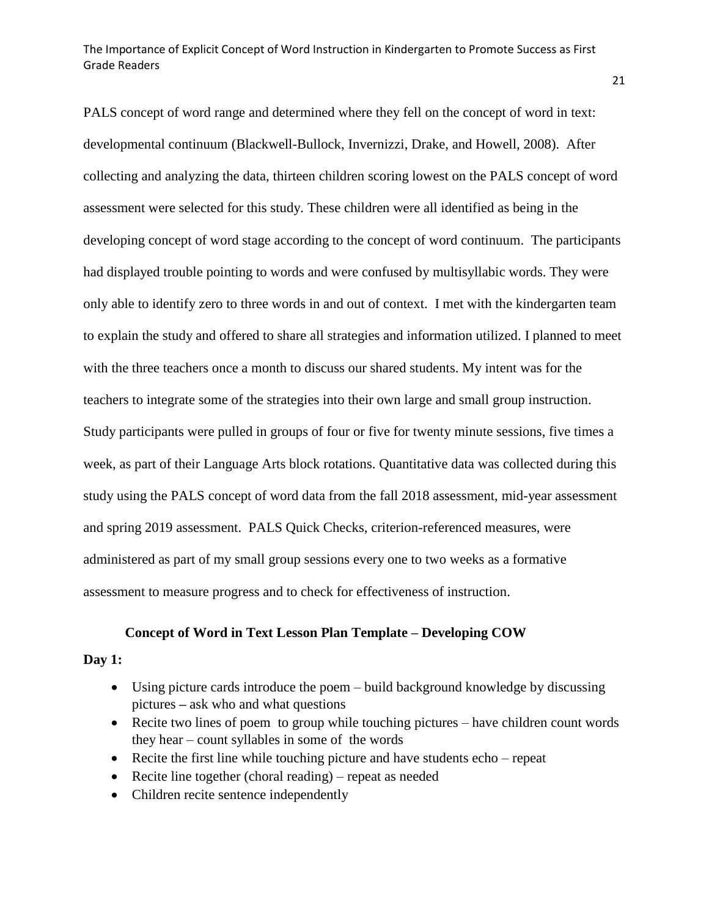PALS concept of word range and determined where they fell on the concept of word in text: developmental continuum (Blackwell-Bullock, Invernizzi, Drake, and Howell, 2008). After collecting and analyzing the data, thirteen children scoring lowest on the PALS concept of word assessment were selected for this study. These children were all identified as being in the developing concept of word stage according to the concept of word continuum. The participants had displayed trouble pointing to words and were confused by multisyllabic words. They were only able to identify zero to three words in and out of context. I met with the kindergarten team to explain the study and offered to share all strategies and information utilized. I planned to meet with the three teachers once a month to discuss our shared students. My intent was for the teachers to integrate some of the strategies into their own large and small group instruction. Study participants were pulled in groups of four or five for twenty minute sessions, five times a week, as part of their Language Arts block rotations. Quantitative data was collected during this study using the PALS concept of word data from the fall 2018 assessment, mid-year assessment and spring 2019 assessment. PALS Quick Checks, criterion-referenced measures, were administered as part of my small group sessions every one to two weeks as a formative assessment to measure progress and to check for effectiveness of instruction.

#### **Concept of Word in Text Lesson Plan Template – Developing COW**

#### **Day 1:**

- Using picture cards introduce the poem build background knowledge by discussing pictures **–** ask who and what questions
- Recite two lines of poem to group while touching pictures have children count words they hear – count syllables in some of the words
- Recite the first line while touching picture and have students echo repeat
- Recite line together (choral reading) repeat as needed
- Children recite sentence independently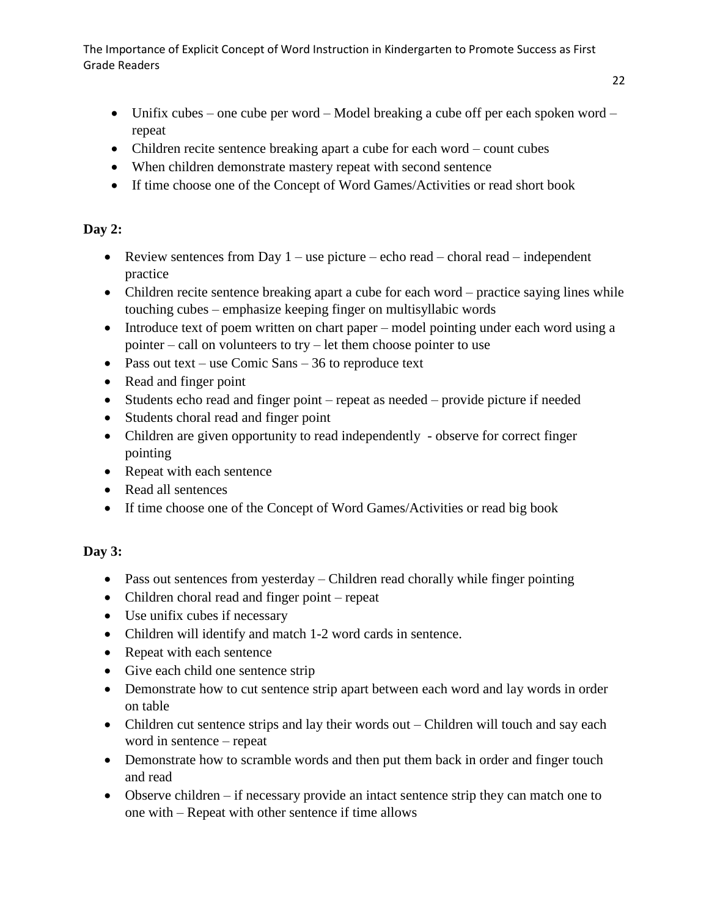- Unifix cubes one cube per word Model breaking a cube off per each spoken word repeat
- Children recite sentence breaking apart a cube for each word count cubes
- When children demonstrate mastery repeat with second sentence
- If time choose one of the Concept of Word Games/Activities or read short book

# **Day 2:**

- Review sentences from Day  $1 -$  use picture echo read choral read independent practice
- Children recite sentence breaking apart a cube for each word practice saying lines while touching cubes – emphasize keeping finger on multisyllabic words
- Introduce text of poem written on chart paper model pointing under each word using a pointer – call on volunteers to try – let them choose pointer to use
- Pass out text use Comic Sans 36 to reproduce text
- Read and finger point
- Students echo read and finger point repeat as needed provide picture if needed
- Students choral read and finger point
- Children are given opportunity to read independently observe for correct finger pointing
- Repeat with each sentence
- Read all sentences
- If time choose one of the Concept of Word Games/Activities or read big book

# **Day 3:**

- Pass out sentences from yesterday Children read chorally while finger pointing
- Children choral read and finger point repeat
- Use unifix cubes if necessary
- Children will identify and match 1-2 word cards in sentence.
- Repeat with each sentence
- Give each child one sentence strip
- Demonstrate how to cut sentence strip apart between each word and lay words in order on table
- Children cut sentence strips and lay their words out Children will touch and say each word in sentence – repeat
- Demonstrate how to scramble words and then put them back in order and finger touch and read
- Observe children if necessary provide an intact sentence strip they can match one to one with – Repeat with other sentence if time allows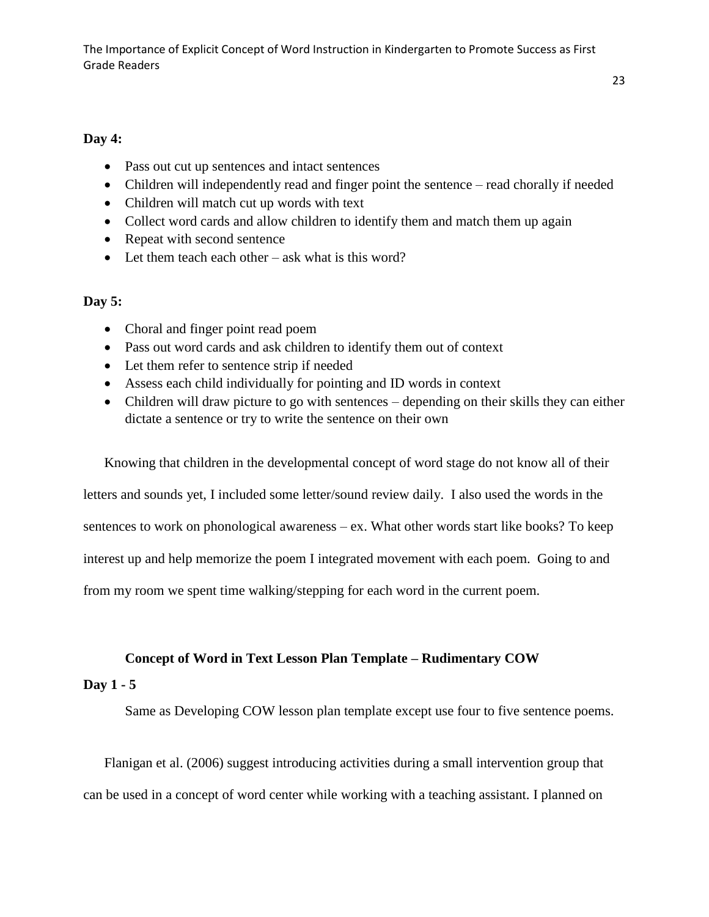### **Day 4:**

- Pass out cut up sentences and intact sentences
- Children will independently read and finger point the sentence read chorally if needed
- Children will match cut up words with text
- Collect word cards and allow children to identify them and match them up again
- Repeat with second sentence
- Let them teach each other ask what is this word?

### **Day 5:**

- Choral and finger point read poem
- Pass out word cards and ask children to identify them out of context
- Let them refer to sentence strip if needed
- Assess each child individually for pointing and ID words in context
- Children will draw picture to go with sentences depending on their skills they can either dictate a sentence or try to write the sentence on their own

Knowing that children in the developmental concept of word stage do not know all of their

letters and sounds yet, I included some letter/sound review daily. I also used the words in the

sentences to work on phonological awareness – ex. What other words start like books? To keep

interest up and help memorize the poem I integrated movement with each poem. Going to and

from my room we spent time walking/stepping for each word in the current poem.

### **Concept of Word in Text Lesson Plan Template – Rudimentary COW**

#### **Day 1 - 5**

Same as Developing COW lesson plan template except use four to five sentence poems.

Flanigan et al. (2006) suggest introducing activities during a small intervention group that can be used in a concept of word center while working with a teaching assistant. I planned on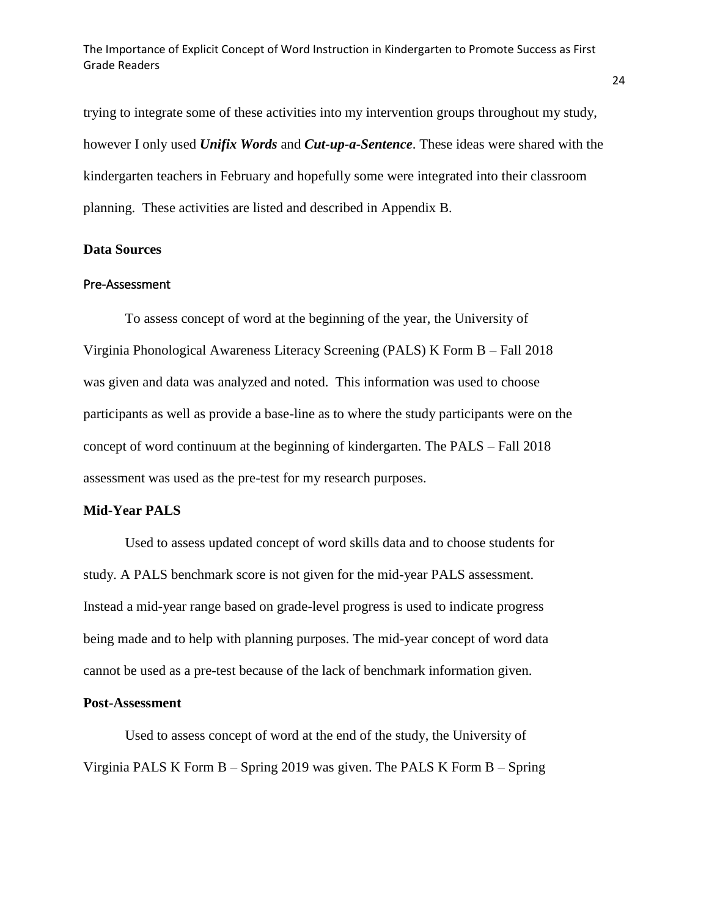trying to integrate some of these activities into my intervention groups throughout my study, however I only used *Unifix Words* and *Cut-up-a-Sentence*. These ideas were shared with the kindergarten teachers in February and hopefully some were integrated into their classroom planning. These activities are listed and described in Appendix B.

### <span id="page-24-0"></span>**Data Sources**

#### <span id="page-24-1"></span>Pre-Assessment

To assess concept of word at the beginning of the year, the University of Virginia Phonological Awareness Literacy Screening (PALS) K Form B – Fall 2018 was given and data was analyzed and noted. This information was used to choose participants as well as provide a base-line as to where the study participants were on the concept of word continuum at the beginning of kindergarten. The PALS – Fall 2018 assessment was used as the pre-test for my research purposes.

#### <span id="page-24-2"></span>**Mid-Year PALS**

Used to assess updated concept of word skills data and to choose students for study. A PALS benchmark score is not given for the mid-year PALS assessment. Instead a mid-year range based on grade-level progress is used to indicate progress being made and to help with planning purposes. The mid-year concept of word data cannot be used as a pre-test because of the lack of benchmark information given.

#### <span id="page-24-3"></span>**Post-Assessment**

Used to assess concept of word at the end of the study, the University of Virginia PALS K Form B – Spring 2019 was given. The PALS K Form B – Spring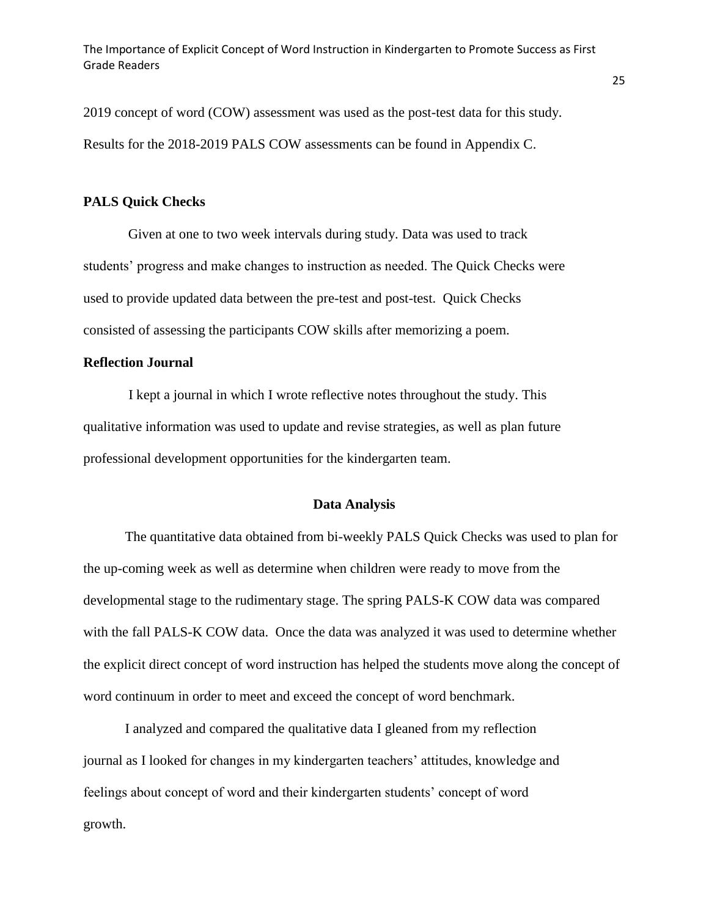2019 concept of word (COW) assessment was used as the post-test data for this study. Results for the 2018-2019 PALS COW assessments can be found in Appendix C.

#### <span id="page-25-0"></span>**PALS Quick Checks**

Given at one to two week intervals during study. Data was used to track students' progress and make changes to instruction as needed. The Quick Checks were used to provide updated data between the pre-test and post-test. Quick Checks consisted of assessing the participants COW skills after memorizing a poem.

### **Reflection Journal**

I kept a journal in which I wrote reflective notes throughout the study. This qualitative information was used to update and revise strategies, as well as plan future professional development opportunities for the kindergarten team.

#### **Data Analysis**

<span id="page-25-1"></span>The quantitative data obtained from bi-weekly PALS Quick Checks was used to plan for the up-coming week as well as determine when children were ready to move from the developmental stage to the rudimentary stage. The spring PALS-K COW data was compared with the fall PALS-K COW data. Once the data was analyzed it was used to determine whether the explicit direct concept of word instruction has helped the students move along the concept of word continuum in order to meet and exceed the concept of word benchmark.

I analyzed and compared the qualitative data I gleaned from my reflection journal as I looked for changes in my kindergarten teachers' attitudes, knowledge and feelings about concept of word and their kindergarten students' concept of word growth.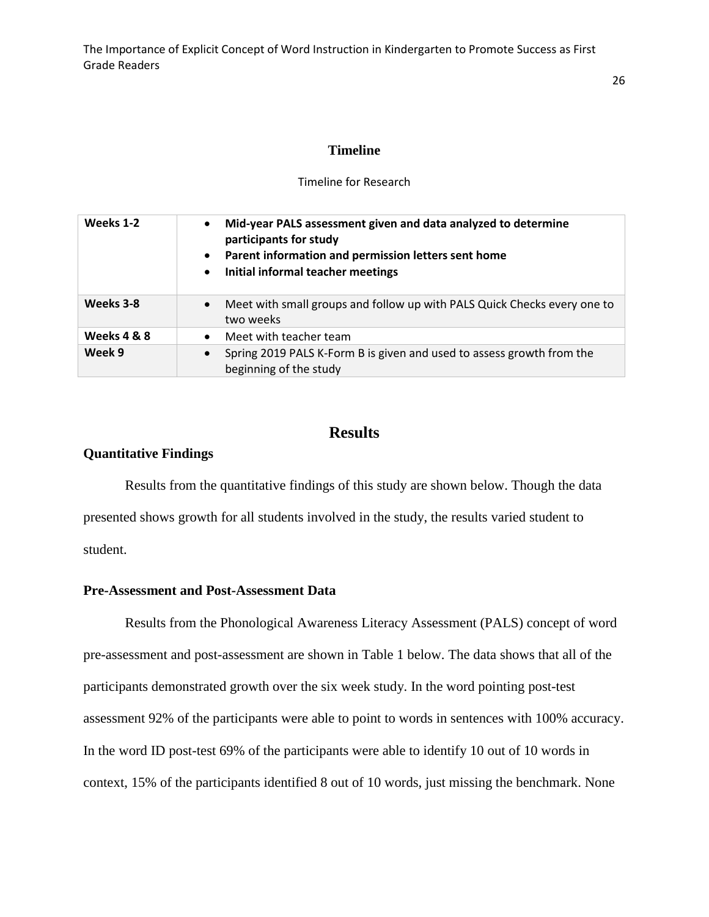#### **Timeline**

#### Timeline for Research

<span id="page-26-0"></span>

| Weeks 1-2   | Mid-year PALS assessment given and data analyzed to determine<br>$\bullet$<br>participants for study<br>Parent information and permission letters sent home<br>$\bullet$<br>Initial informal teacher meetings<br>$\bullet$ |
|-------------|----------------------------------------------------------------------------------------------------------------------------------------------------------------------------------------------------------------------------|
| Weeks 3-8   | Meet with small groups and follow up with PALS Quick Checks every one to<br>$\bullet$<br>two weeks                                                                                                                         |
| Weeks 4 & 8 | Meet with teacher team<br>$\bullet$                                                                                                                                                                                        |
| Week 9      | Spring 2019 PALS K-Form B is given and used to assess growth from the<br>$\bullet$<br>beginning of the study                                                                                                               |

# **Results**

### <span id="page-26-2"></span><span id="page-26-1"></span>**Quantitative Findings**

Results from the quantitative findings of this study are shown below. Though the data presented shows growth for all students involved in the study, the results varied student to student.

#### <span id="page-26-3"></span>**Pre-Assessment and Post-Assessment Data**

Results from the Phonological Awareness Literacy Assessment (PALS) concept of word pre-assessment and post-assessment are shown in Table 1 below. The data shows that all of the participants demonstrated growth over the six week study. In the word pointing post-test assessment 92% of the participants were able to point to words in sentences with 100% accuracy. In the word ID post-test 69% of the participants were able to identify 10 out of 10 words in context, 15% of the participants identified 8 out of 10 words, just missing the benchmark. None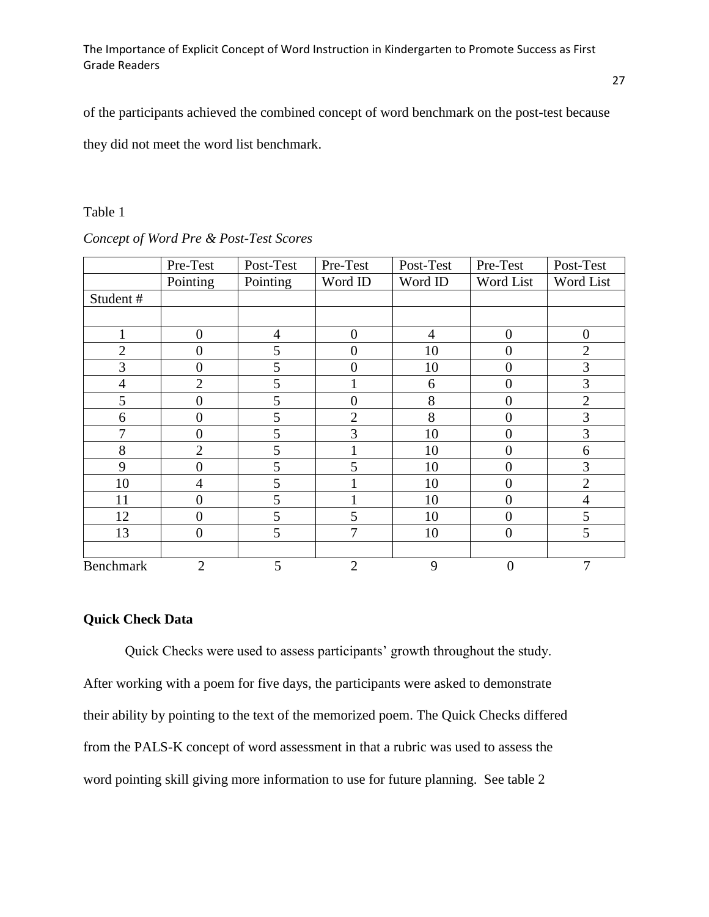of the participants achieved the combined concept of word benchmark on the post-test because

they did not meet the word list benchmark.

### Table 1

|                  | Pre-Test       | Post-Test | Pre-Test       | Post-Test | Pre-Test       | Post-Test      |
|------------------|----------------|-----------|----------------|-----------|----------------|----------------|
|                  | Pointing       | Pointing  | Word ID        | Word ID   | Word List      | Word List      |
| Student#         |                |           |                |           |                |                |
|                  |                |           |                |           |                |                |
|                  | $\overline{0}$ | 4         | $\theta$       | 4         | $\overline{0}$ | $\theta$       |
| $\overline{2}$   | 0              | 5         | $\Omega$       | 10        | $\theta$       | $\overline{2}$ |
| 3                | $\overline{0}$ | 5         | $\theta$       | 10        | $\theta$       | 3              |
| $\overline{4}$   | $\overline{2}$ | 5         |                | 6         | $\overline{0}$ | 3              |
| 5                | 0              | 5         | $\overline{0}$ | 8         | $\overline{0}$ | $\overline{2}$ |
| 6                | 0              | 5         | $\overline{2}$ | 8         | $\overline{0}$ | 3              |
| 7                | $\overline{0}$ | 5         | 3              | 10        | $\overline{0}$ | 3              |
| 8                | $\overline{2}$ | 5         |                | 10        | $\overline{0}$ | 6              |
| 9                | $\overline{0}$ | 5         | 5              | 10        | $\overline{0}$ | 3              |
| 10               | 4              | 5         |                | 10        | $\theta$       | $\overline{2}$ |
| 11               | $\overline{0}$ | 5         |                | 10        | $\overline{0}$ | $\overline{4}$ |
| 12               | 0              | 5         | 5              | 10        | $\overline{0}$ | 5              |
| 13               | $\overline{0}$ | 5         | 7              | 10        | $\overline{0}$ | 5              |
|                  |                |           |                |           |                |                |
| <b>Benchmark</b> | $\overline{2}$ | 5         | $\overline{2}$ | 9         | $\overline{0}$ | 7              |

#### *Concept of Word Pre & Post-Test Scores*

# <span id="page-27-0"></span>**Quick Check Data**

Quick Checks were used to assess participants' growth throughout the study. After working with a poem for five days, the participants were asked to demonstrate their ability by pointing to the text of the memorized poem. The Quick Checks differed from the PALS-K concept of word assessment in that a rubric was used to assess the word pointing skill giving more information to use for future planning. See table 2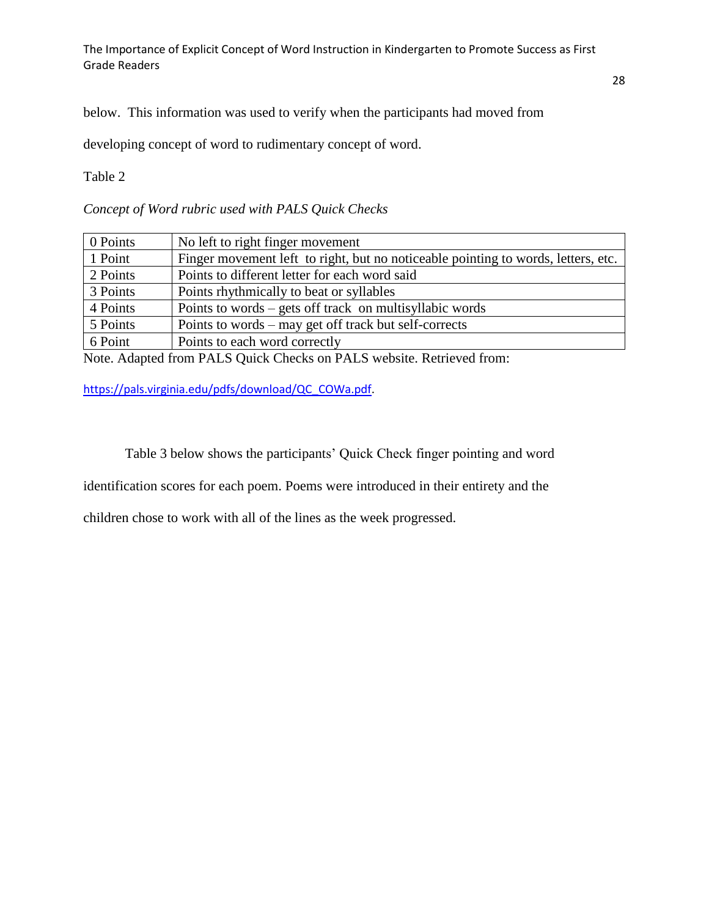below. This information was used to verify when the participants had moved from

developing concept of word to rudimentary concept of word.

Table 2

*Concept of Word rubric used with PALS Quick Checks*

| 0 Points | No left to right finger movement                                                  |
|----------|-----------------------------------------------------------------------------------|
| 1 Point  | Finger movement left to right, but no noticeable pointing to words, letters, etc. |
| 2 Points | Points to different letter for each word said                                     |
| 3 Points | Points rhythmically to beat or syllables                                          |
| 4 Points | Points to words $-$ gets off track on multisyllabic words                         |
| 5 Points | Points to words – may get off track but self-corrects                             |
| 6 Point  | Points to each word correctly                                                     |

Note. Adapted from PALS Quick Checks on PALS website. Retrieved from:

[https://pals.virginia.edu/pdfs/download/QC\\_COWa.pdf.](https://pals.virginia.edu/pdfs/download/QC_COWa.pdf)

Table 3 below shows the participants' Quick Check finger pointing and word

identification scores for each poem. Poems were introduced in their entirety and the

children chose to work with all of the lines as the week progressed.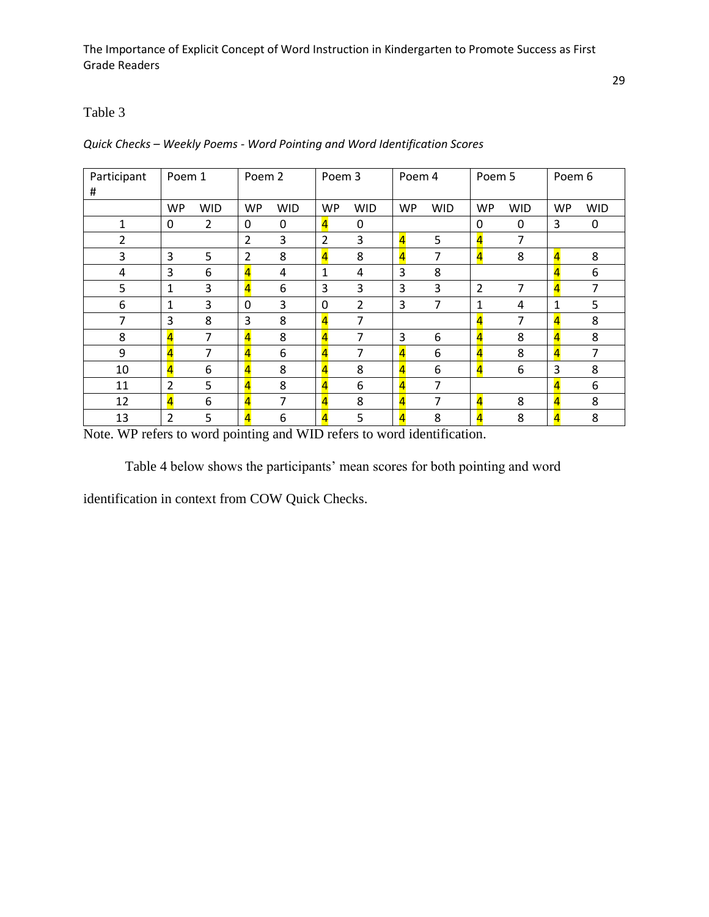# Table 3

| Participant<br># | Poem 1                  |                | Poem 2         |            |                         | Poem 3     |                         | Poem 4     | Poem 5                  |            | Poem 6                  |            |
|------------------|-------------------------|----------------|----------------|------------|-------------------------|------------|-------------------------|------------|-------------------------|------------|-------------------------|------------|
|                  | <b>WP</b>               | <b>WID</b>     | <b>WP</b>      | <b>WID</b> | <b>WP</b>               | <b>WID</b> | WP                      | <b>WID</b> | <b>WP</b>               | <b>WID</b> | <b>WP</b>               | <b>WID</b> |
| 1                | 0                       | $\overline{2}$ | 0              | 0          | $\overline{4}$          | 0          |                         |            | 0                       | 0          | 3                       | 0          |
| 2                |                         |                | $\overline{2}$ | 3          | $\overline{2}$          | 3          | $\overline{\mathbf{4}}$ | 5          | $\overline{4}$          | 7          |                         |            |
| 3                | 3                       | 5              | $\overline{2}$ | 8          | $\overline{4}$          | 8          | $\overline{4}$          | 7          | $\overline{4}$          | 8          | $\overline{4}$          | 8          |
| 4                | 3                       | 6              | $\overline{4}$ | 4          | 1                       | 4          | 3                       | 8          |                         |            | 4                       | 6          |
| 5                | 1                       | 3              | $\overline{4}$ | 6          | 3                       | 3          | 3                       | 3          | $\overline{2}$          | 7          | $\overline{4}$          | 7          |
| 6                | 1                       | 3              | $\mathbf 0$    | 3          | 0                       | 2          | 3                       | 7          | 1                       | 4          | 1                       | 5          |
| 7                | 3                       | 8              | 3              | 8          | $\overline{4}$          | 7          |                         |            | $\overline{4}$          | 7          | 4                       | 8          |
| 8                | $\overline{\mathbf{4}}$ | 7              | $\overline{4}$ | 8          | $\overline{\mathbf{4}}$ | 7          | 3                       | 6          | $\overline{4}$          | 8          | $\overline{4}$          | 8          |
| 9                | $\overline{4}$          | 7              | $\overline{4}$ | 6          | $\overline{4}$          | 7          | $\overline{\mathbf{4}}$ | 6          | $\overline{\mathbf{4}}$ | 8          | $\overline{4}$          |            |
| 10               | $\overline{\mathbf{4}}$ | 6              | $\overline{4}$ | 8          | $\overline{\mathbf{4}}$ | 8          | $\overline{\mathbf{4}}$ | 6          | $\overline{\mathbf{4}}$ | 6          | 3                       | 8          |
| 11               | $\overline{2}$          | 5              | $\overline{4}$ | 8          | $\overline{4}$          | 6          | $\overline{\mathbf{4}}$ | 7          |                         |            | 4                       | 6          |
| 12               | $\overline{\mathbf{4}}$ | 6              | $\overline{4}$ | 7          | $\overline{\mathbf{4}}$ | 8          | $\overline{\mathbf{4}}$ | 7          | $\overline{\mathbf{4}}$ | 8          | $\overline{\mathbf{4}}$ | 8          |
| 13               | $\overline{2}$          | 5              | $\overline{4}$ | 6          | $\overline{\mathbf{4}}$ | 5          | $\overline{\mathbf{A}}$ | 8          | $\overline{4}$          | 8          | 4                       | 8          |

#### *Quick Checks – Weekly Poems - Word Pointing and Word Identification Scores*

Note. WP refers to word pointing and WID refers to word identification.

Table 4 below shows the participants' mean scores for both pointing and word

identification in context from COW Quick Checks.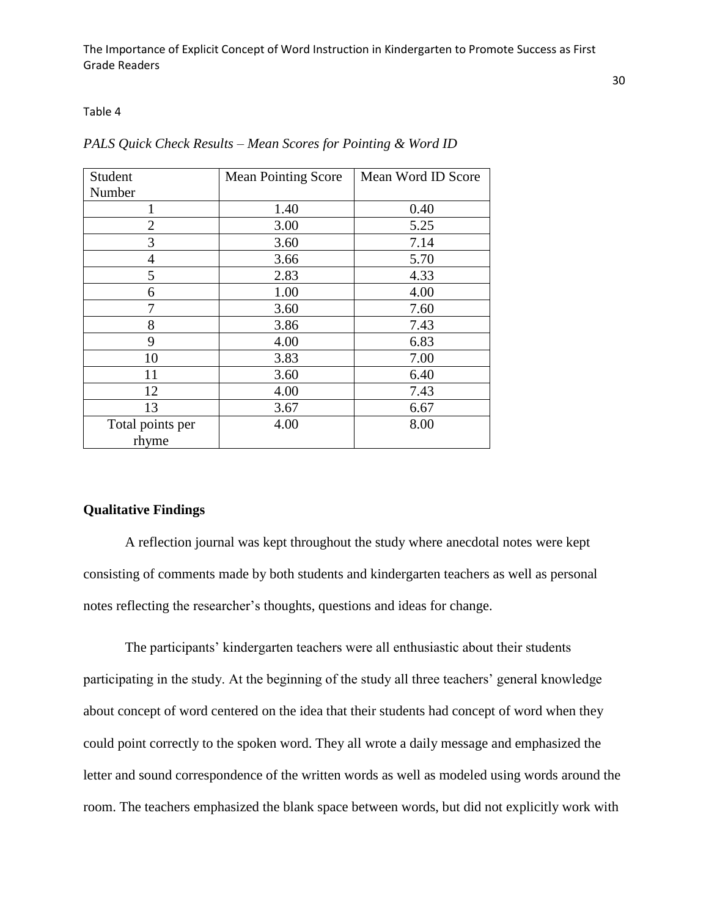Table 4

| Student                   | <b>Mean Pointing Score</b> | Mean Word ID Score |
|---------------------------|----------------------------|--------------------|
| Number                    |                            |                    |
|                           | 1.40                       | 0.40               |
| $\overline{2}$            | 3.00                       | 5.25               |
| 3                         | 3.60                       | 7.14               |
| $\overline{4}$            | 3.66                       | 5.70               |
| 5                         | 2.83                       | 4.33               |
| 6                         | 1.00                       | 4.00               |
| 7                         | 3.60                       | 7.60               |
| 8                         | 3.86                       | 7.43               |
| 9                         | 4.00                       | 6.83               |
| 10                        | 3.83                       | 7.00               |
| 11                        | 3.60                       | 6.40               |
| 12                        | 4.00                       | 7.43               |
| 13                        | 3.67                       | 6.67               |
| Total points per<br>rhyme | 4.00                       | 8.00               |

#### *PALS Quick Check Results – Mean Scores for Pointing & Word ID*

#### <span id="page-30-0"></span>**Qualitative Findings**

A reflection journal was kept throughout the study where anecdotal notes were kept consisting of comments made by both students and kindergarten teachers as well as personal notes reflecting the researcher's thoughts, questions and ideas for change.

The participants' kindergarten teachers were all enthusiastic about their students participating in the study. At the beginning of the study all three teachers' general knowledge about concept of word centered on the idea that their students had concept of word when they could point correctly to the spoken word. They all wrote a daily message and emphasized the letter and sound correspondence of the written words as well as modeled using words around the room. The teachers emphasized the blank space between words, but did not explicitly work with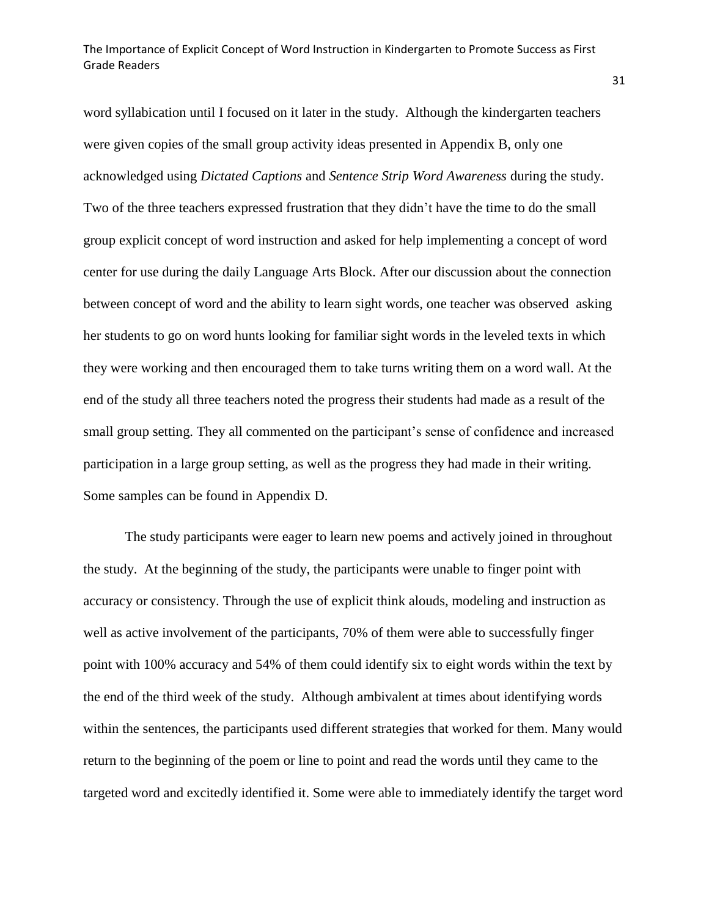word syllabication until I focused on it later in the study. Although the kindergarten teachers were given copies of the small group activity ideas presented in Appendix B, only one acknowledged using *Dictated Captions* and *Sentence Strip Word Awareness* during the study. Two of the three teachers expressed frustration that they didn't have the time to do the small group explicit concept of word instruction and asked for help implementing a concept of word center for use during the daily Language Arts Block. After our discussion about the connection between concept of word and the ability to learn sight words, one teacher was observed asking her students to go on word hunts looking for familiar sight words in the leveled texts in which they were working and then encouraged them to take turns writing them on a word wall. At the end of the study all three teachers noted the progress their students had made as a result of the small group setting. They all commented on the participant's sense of confidence and increased participation in a large group setting, as well as the progress they had made in their writing. Some samples can be found in Appendix D.

The study participants were eager to learn new poems and actively joined in throughout the study. At the beginning of the study, the participants were unable to finger point with accuracy or consistency. Through the use of explicit think alouds, modeling and instruction as well as active involvement of the participants, 70% of them were able to successfully finger point with 100% accuracy and 54% of them could identify six to eight words within the text by the end of the third week of the study. Although ambivalent at times about identifying words within the sentences, the participants used different strategies that worked for them. Many would return to the beginning of the poem or line to point and read the words until they came to the targeted word and excitedly identified it. Some were able to immediately identify the target word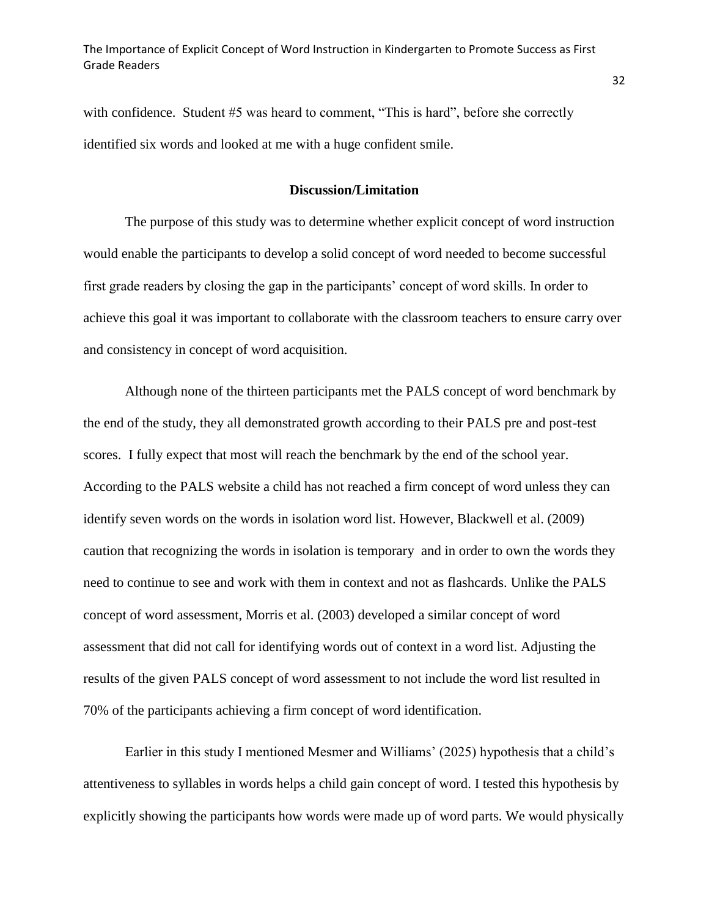with confidence. Student #5 was heard to comment, "This is hard", before she correctly identified six words and looked at me with a huge confident smile.

#### **Discussion/Limitation**

<span id="page-32-0"></span>The purpose of this study was to determine whether explicit concept of word instruction would enable the participants to develop a solid concept of word needed to become successful first grade readers by closing the gap in the participants' concept of word skills. In order to achieve this goal it was important to collaborate with the classroom teachers to ensure carry over and consistency in concept of word acquisition.

Although none of the thirteen participants met the PALS concept of word benchmark by the end of the study, they all demonstrated growth according to their PALS pre and post-test scores. I fully expect that most will reach the benchmark by the end of the school year. According to the PALS website a child has not reached a firm concept of word unless they can identify seven words on the words in isolation word list. However, Blackwell et al. (2009) caution that recognizing the words in isolation is temporary and in order to own the words they need to continue to see and work with them in context and not as flashcards. Unlike the PALS concept of word assessment, Morris et al. (2003) developed a similar concept of word assessment that did not call for identifying words out of context in a word list. Adjusting the results of the given PALS concept of word assessment to not include the word list resulted in 70% of the participants achieving a firm concept of word identification.

Earlier in this study I mentioned Mesmer and Williams' (2025) hypothesis that a child's attentiveness to syllables in words helps a child gain concept of word. I tested this hypothesis by explicitly showing the participants how words were made up of word parts. We would physically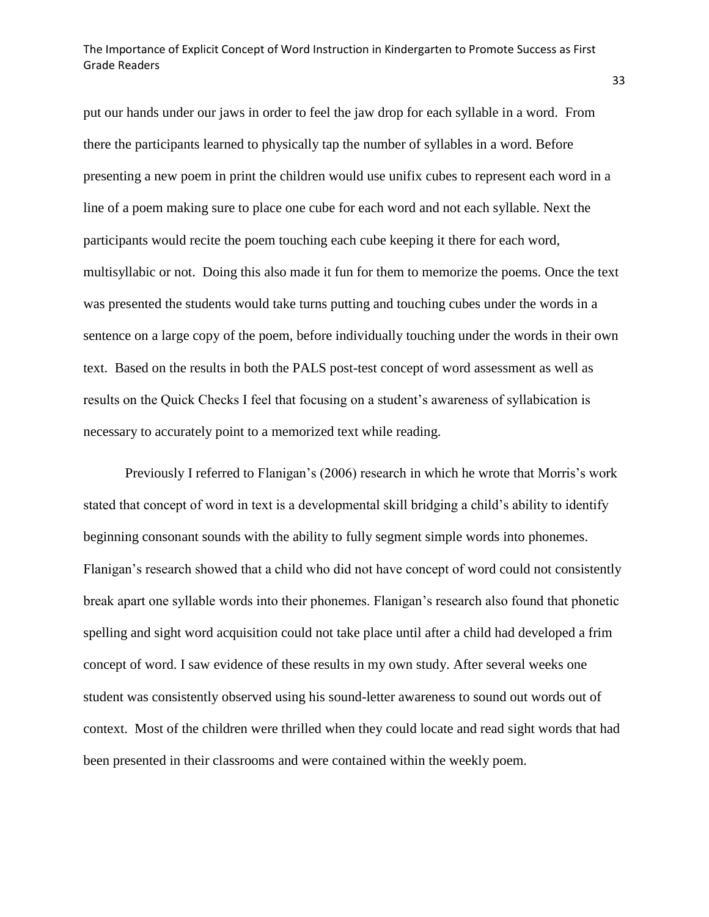put our hands under our jaws in order to feel the jaw drop for each syllable in a word. From there the participants learned to physically tap the number of syllables in a word. Before presenting a new poem in print the children would use unifix cubes to represent each word in a line of a poem making sure to place one cube for each word and not each syllable. Next the participants would recite the poem touching each cube keeping it there for each word, multisyllabic or not. Doing this also made it fun for them to memorize the poems. Once the text was presented the students would take turns putting and touching cubes under the words in a sentence on a large copy of the poem, before individually touching under the words in their own text. Based on the results in both the PALS post-test concept of word assessment as well as results on the Quick Checks I feel that focusing on a student's awareness of syllabication is necessary to accurately point to a memorized text while reading.

Previously I referred to Flanigan's (2006) research in which he wrote that Morris's work stated that concept of word in text is a developmental skill bridging a child's ability to identify beginning consonant sounds with the ability to fully segment simple words into phonemes. Flanigan's research showed that a child who did not have concept of word could not consistently break apart one syllable words into their phonemes. Flanigan's research also found that phonetic spelling and sight word acquisition could not take place until after a child had developed a frim concept of word. I saw evidence of these results in my own study. After several weeks one student was consistently observed using his sound-letter awareness to sound out words out of context. Most of the children were thrilled when they could locate and read sight words that had been presented in their classrooms and were contained within the weekly poem.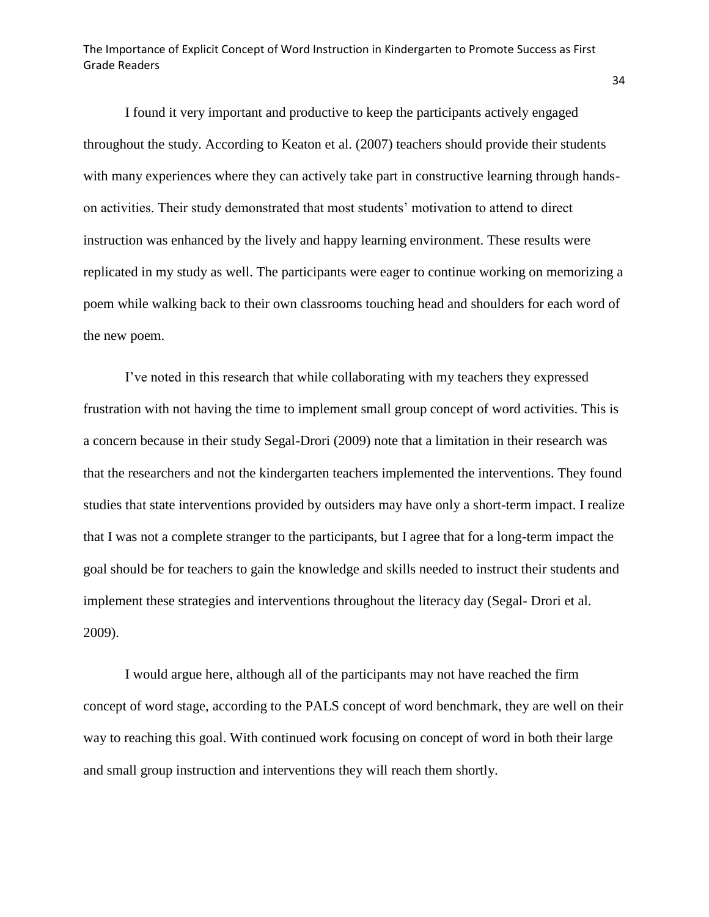I found it very important and productive to keep the participants actively engaged throughout the study. According to Keaton et al. (2007) teachers should provide their students with many experiences where they can actively take part in constructive learning through handson activities. Their study demonstrated that most students' motivation to attend to direct instruction was enhanced by the lively and happy learning environment. These results were replicated in my study as well. The participants were eager to continue working on memorizing a poem while walking back to their own classrooms touching head and shoulders for each word of the new poem.

I've noted in this research that while collaborating with my teachers they expressed frustration with not having the time to implement small group concept of word activities. This is a concern because in their study Segal-Drori (2009) note that a limitation in their research was that the researchers and not the kindergarten teachers implemented the interventions. They found studies that state interventions provided by outsiders may have only a short-term impact. I realize that I was not a complete stranger to the participants, but I agree that for a long-term impact the goal should be for teachers to gain the knowledge and skills needed to instruct their students and implement these strategies and interventions throughout the literacy day (Segal- Drori et al. 2009).

I would argue here, although all of the participants may not have reached the firm concept of word stage, according to the PALS concept of word benchmark, they are well on their way to reaching this goal. With continued work focusing on concept of word in both their large and small group instruction and interventions they will reach them shortly.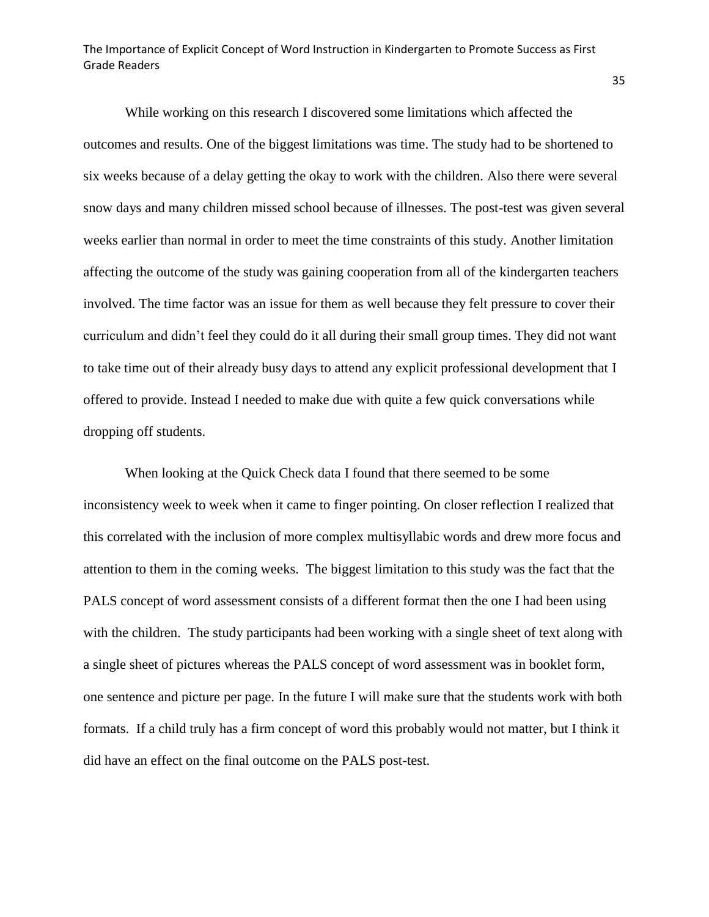While working on this research I discovered some limitations which affected the outcomes and results. One of the biggest limitations was time. The study had to be shortened to six weeks because of a delay getting the okay to work with the children. Also there were several snow days and many children missed school because of illnesses. The post-test was given several weeks earlier than normal in order to meet the time constraints of this study. Another limitation affecting the outcome of the study was gaining cooperation from all of the kindergarten teachers involved. The time factor was an issue for them as well because they felt pressure to cover their curriculum and didn't feel they could do it all during their small group times. They did not want to take time out of their already busy days to attend any explicit professional development that I offered to provide. Instead I needed to make due with quite a few quick conversations while dropping off students.

When looking at the Quick Check data I found that there seemed to be some inconsistency week to week when it came to finger pointing. On closer reflection I realized that this correlated with the inclusion of more complex multisyllabic words and drew more focus and attention to them in the coming weeks. The biggest limitation to this study was the fact that the PALS concept of word assessment consists of a different format then the one I had been using with the children. The study participants had been working with a single sheet of text along with a single sheet of pictures whereas the PALS concept of word assessment was in booklet form, one sentence and picture per page. In the future I will make sure that the students work with both formats. If a child truly has a firm concept of word this probably would not matter, but I think it did have an effect on the final outcome on the PALS post-test.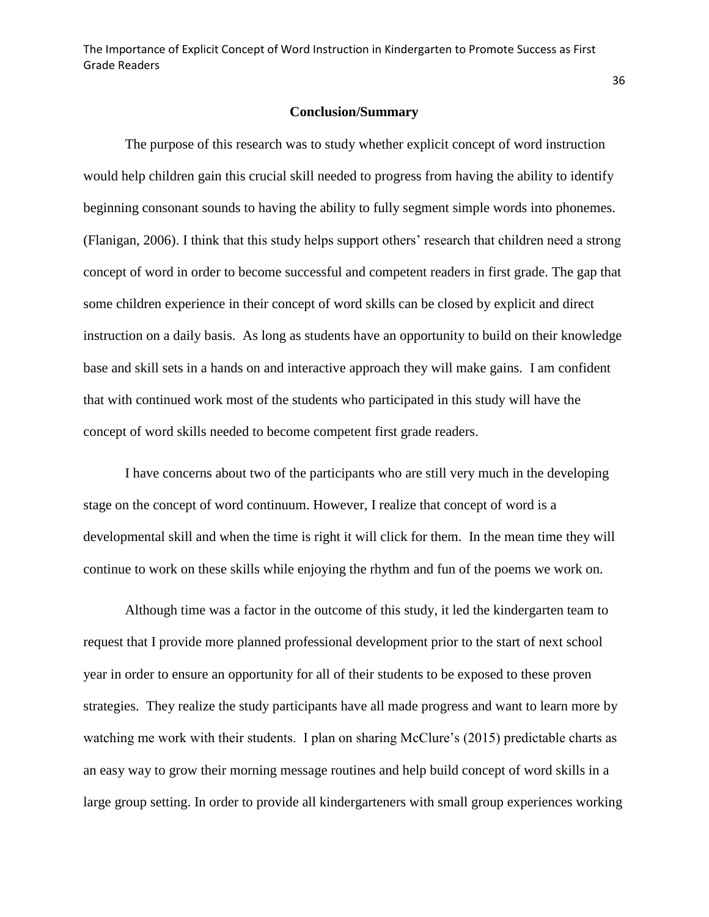#### **Conclusion/Summary**

<span id="page-36-0"></span>The purpose of this research was to study whether explicit concept of word instruction would help children gain this crucial skill needed to progress from having the ability to identify beginning consonant sounds to having the ability to fully segment simple words into phonemes. (Flanigan, 2006). I think that this study helps support others' research that children need a strong concept of word in order to become successful and competent readers in first grade. The gap that some children experience in their concept of word skills can be closed by explicit and direct instruction on a daily basis. As long as students have an opportunity to build on their knowledge base and skill sets in a hands on and interactive approach they will make gains. I am confident that with continued work most of the students who participated in this study will have the concept of word skills needed to become competent first grade readers.

I have concerns about two of the participants who are still very much in the developing stage on the concept of word continuum. However, I realize that concept of word is a developmental skill and when the time is right it will click for them. In the mean time they will continue to work on these skills while enjoying the rhythm and fun of the poems we work on.

Although time was a factor in the outcome of this study, it led the kindergarten team to request that I provide more planned professional development prior to the start of next school year in order to ensure an opportunity for all of their students to be exposed to these proven strategies. They realize the study participants have all made progress and want to learn more by watching me work with their students. I plan on sharing McClure's (2015) predictable charts as an easy way to grow their morning message routines and help build concept of word skills in a large group setting. In order to provide all kindergarteners with small group experiences working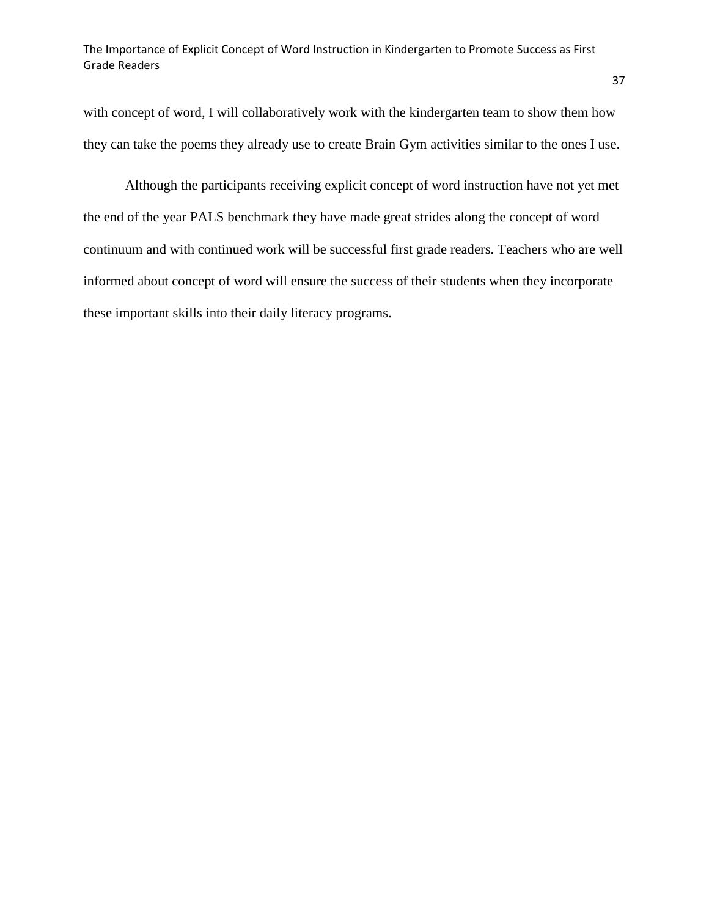with concept of word, I will collaboratively work with the kindergarten team to show them how they can take the poems they already use to create Brain Gym activities similar to the ones I use.

Although the participants receiving explicit concept of word instruction have not yet met the end of the year PALS benchmark they have made great strides along the concept of word continuum and with continued work will be successful first grade readers. Teachers who are well informed about concept of word will ensure the success of their students when they incorporate these important skills into their daily literacy programs.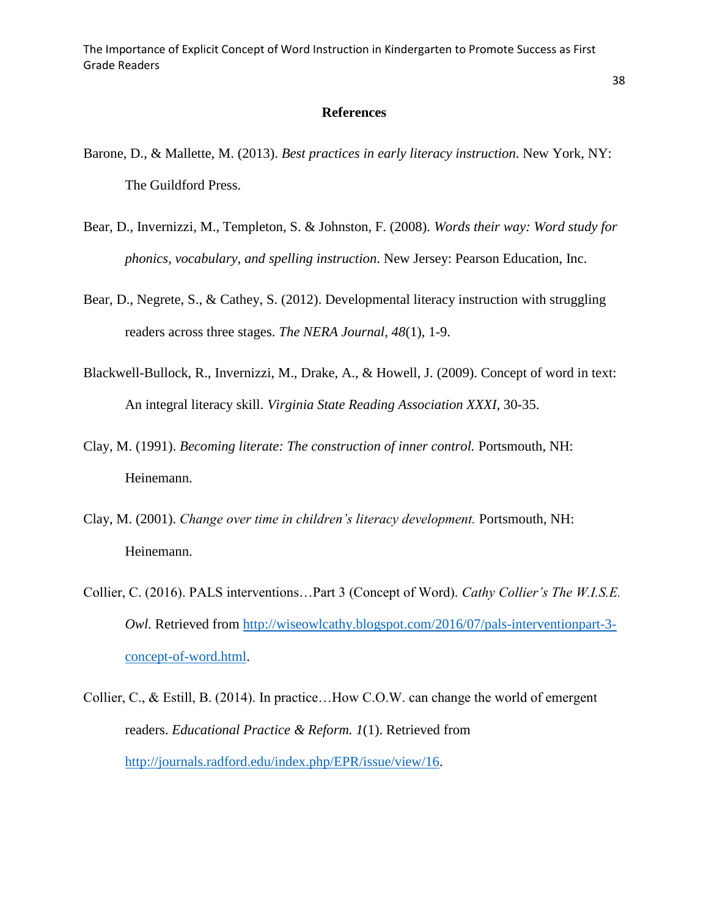#### **References**

- Barone, D., & Mallette, M. (2013). *Best practices in early literacy instruction*. New York, NY: The Guildford Press.
- Bear, D., Invernizzi, M., Templeton, S. & Johnston, F. (2008). *Words their way: Word study for phonics, vocabulary, and spelling instruction*. New Jersey: Pearson Education, Inc.
- Bear, D., Negrete, S., & Cathey, S. (2012). Developmental literacy instruction with struggling readers across three stages. *The NERA Journal, 48*(1), 1-9.
- Blackwell-Bullock, R., Invernizzi, M., Drake, A., & Howell, J. (2009). Concept of word in text: An integral literacy skill. *Virginia State Reading Association XXXI,* 30-35.
- Clay, M. (1991). *Becoming literate: The construction of inner control.* Portsmouth, NH: Heinemann.
- Clay, M. (2001). *Change over time in children's literacy development.* Portsmouth, NH: Heinemann.
- Collier, C. (2016). PALS interventions…Part 3 (Concept of Word). *Cathy Collier's The W.I.S.E. Owl.* Retrieved from [http://wiseowlcathy.blogspot.com/2016/07/pals-interventionpart-3](http://wiseowlcathy.blogspot.com/2016/07/pals-interventionpart-3-concept-of-word.html) [concept-of-word.html.](http://wiseowlcathy.blogspot.com/2016/07/pals-interventionpart-3-concept-of-word.html)
- Collier, C., & Estill, B. (2014). In practice…How C.O.W. can change the world of emergent readers. *Educational Practice & Reform. 1*(1). Retrieved from [http://journals.radford.edu/index.php/EPR/issue/view/16.](http://journals.radford.edu/index.php/EPR/issue/view/16)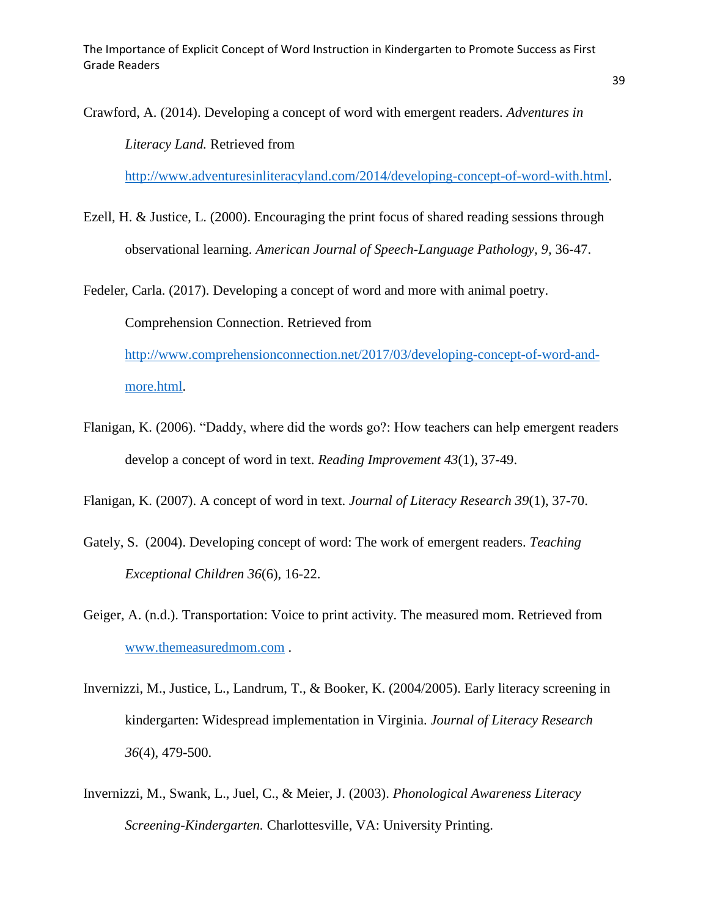Crawford, A. (2014). Developing a concept of word with emergent readers. *Adventures in Literacy Land.* Retrieved from

[http://www.adventuresinliteracyland.com/2014/developing-concept-of-word-with.html.](http://www.adventuresinliteracyland.com/2014/developing-concept-of-word-with.html)

Ezell, H. & Justice, L. (2000). Encouraging the print focus of shared reading sessions through observational learning. *American Journal of Speech-Language Pathology, 9,* 36-47.

Fedeler, Carla. (2017). Developing a concept of word and more with animal poetry. Comprehension Connection. Retrieved from [http://www.comprehensionconnection.net/2017/03/developing-concept-of-word-and](http://www.comprehensionconnection.net/2017/03/developing-concept-of-word-and-more.html)[more.html.](http://www.comprehensionconnection.net/2017/03/developing-concept-of-word-and-more.html)

Flanigan, K. (2006). "Daddy, where did the words go?: How teachers can help emergent readers develop a concept of word in text. *Reading Improvement 43*(1), 37-49.

Flanigan, K. (2007). A concept of word in text. *Journal of Literacy Research 39*(1), 37-70.

- Gately, S. (2004). Developing concept of word: The work of emergent readers. *Teaching Exceptional Children 36*(6), 16-22.
- Geiger, A. (n.d.). Transportation: Voice to print activity. The measured mom. Retrieved from [www.themeasuredmom.com](http://www.themeasuredmom.com/) .
- Invernizzi, M., Justice, L., Landrum, T., & Booker, K. (2004/2005). Early literacy screening in kindergarten: Widespread implementation in Virginia. *Journal of Literacy Research 36*(4), 479-500.
- Invernizzi, M., Swank, L., Juel, C., & Meier, J. (2003). *Phonological Awareness Literacy Screening-Kindergarten.* Charlottesville, VA: University Printing.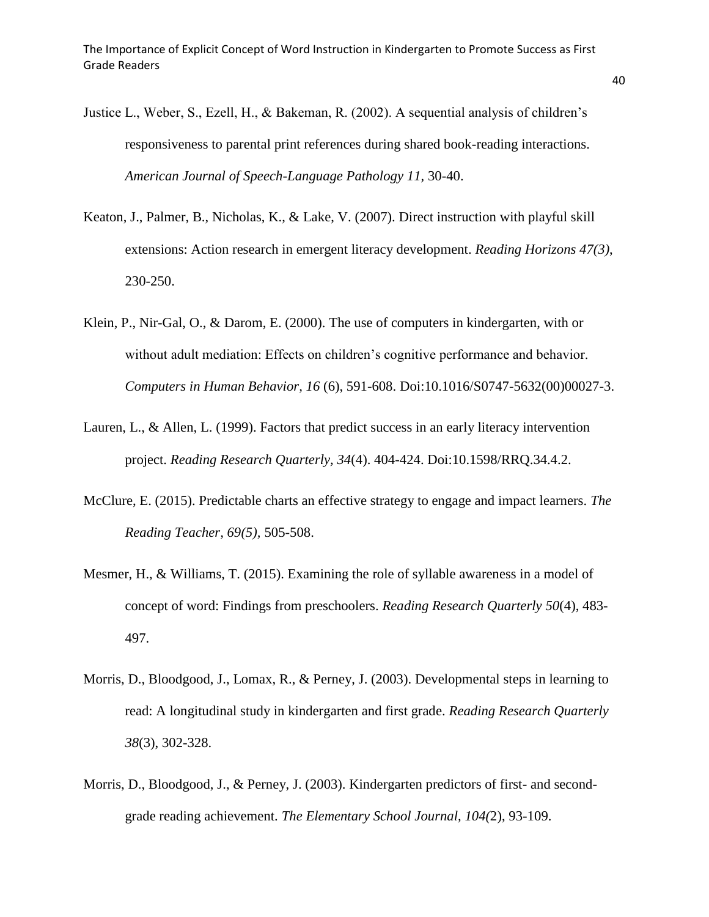- Justice L., Weber, S., Ezell, H., & Bakeman, R. (2002). A sequential analysis of children's responsiveness to parental print references during shared book-reading interactions. *American Journal of Speech-Language Pathology 11,* 30-40.
- Keaton, J., Palmer, B., Nicholas, K., & Lake, V. (2007). Direct instruction with playful skill extensions: Action research in emergent literacy development. *Reading Horizons 47(3)*, 230-250.
- Klein, P., Nir-Gal, O., & Darom, E. (2000). The use of computers in kindergarten, with or without adult mediation: Effects on children's cognitive performance and behavior. *Computers in Human Behavior, 16* (6), 591-608. Doi:10.1016/S0747-5632(00)00027-3.
- Lauren, L., & Allen, L. (1999). Factors that predict success in an early literacy intervention project. *Reading Research Quarterly, 34*(4). 404-424. Doi:10.1598/RRQ.34.4.2.
- McClure, E. (2015). Predictable charts an effective strategy to engage and impact learners. *The Reading Teacher, 69(5),* 505-508.
- Mesmer, H., & Williams, T. (2015). Examining the role of syllable awareness in a model of concept of word: Findings from preschoolers. *Reading Research Quarterly 50*(4), 483- 497.
- Morris, D., Bloodgood, J., Lomax, R., & Perney, J. (2003). Developmental steps in learning to read: A longitudinal study in kindergarten and first grade. *Reading Research Quarterly 38*(3), 302-328.
- Morris, D., Bloodgood, J., & Perney, J. (2003). Kindergarten predictors of first- and secondgrade reading achievement. *The Elementary School Journal, 104(*2), 93-109.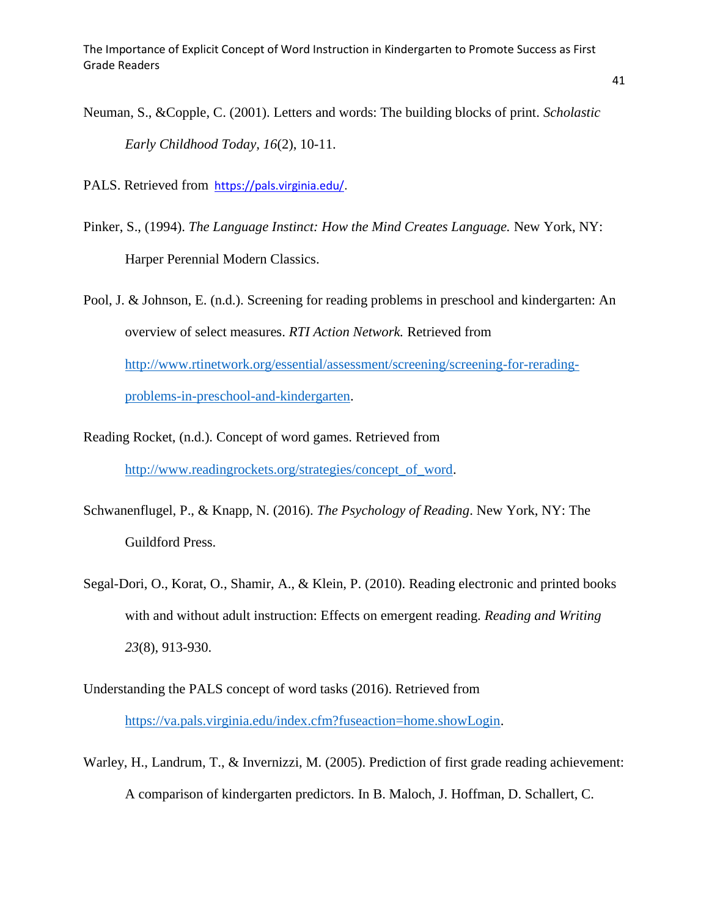Neuman, S., &Copple, C. (2001). Letters and words: The building blocks of print. *Scholastic Early Childhood Today, 16*(2), 10-11.

PALS. Retrieved from [https://pals.virginia.edu/.](https://pals.virginia.edu/)

- Pinker, S., (1994). *The Language Instinct: How the Mind Creates Language.* New York, NY: Harper Perennial Modern Classics.
- Pool, J. & Johnson, E. (n.d.). Screening for reading problems in preschool and kindergarten: An overview of select measures. *RTI Action Network.* Retrieved from [http://www.rtinetwork.org/essential/assessment/screening/screening-for-rerading](http://www.rtinetwork.org/essential/assessment/screening/screening-for-rerading-problems-in-preschool-and-kindergarten)[problems-in-preschool-and-kindergarten.](http://www.rtinetwork.org/essential/assessment/screening/screening-for-rerading-problems-in-preschool-and-kindergarten)
- Reading Rocket, (n.d.). Concept of word games. Retrieved from [http://www.readingrockets.org/strategies/concept\\_of\\_word.](http://www.readingrockets.org/strategies/concept_of_word)
- Schwanenflugel, P., & Knapp, N. (2016). *The Psychology of Reading*. New York, NY: The Guildford Press.
- Segal-Dori, O., Korat, O., Shamir, A., & Klein, P. (2010). Reading electronic and printed books with and without adult instruction: Effects on emergent reading. *Reading and Writing 23*(8), 913-930.
- Understanding the PALS concept of word tasks (2016). Retrieved from [https://va.pals.virginia.edu/index.cfm?fuseaction=home.showLogin.](https://va.pals.virginia.edu/index.cfm?fuseaction=home.showLogin)
- Warley, H., Landrum, T., & Invernizzi, M. (2005). Prediction of first grade reading achievement: A comparison of kindergarten predictors. In B. Maloch, J. Hoffman, D. Schallert, C.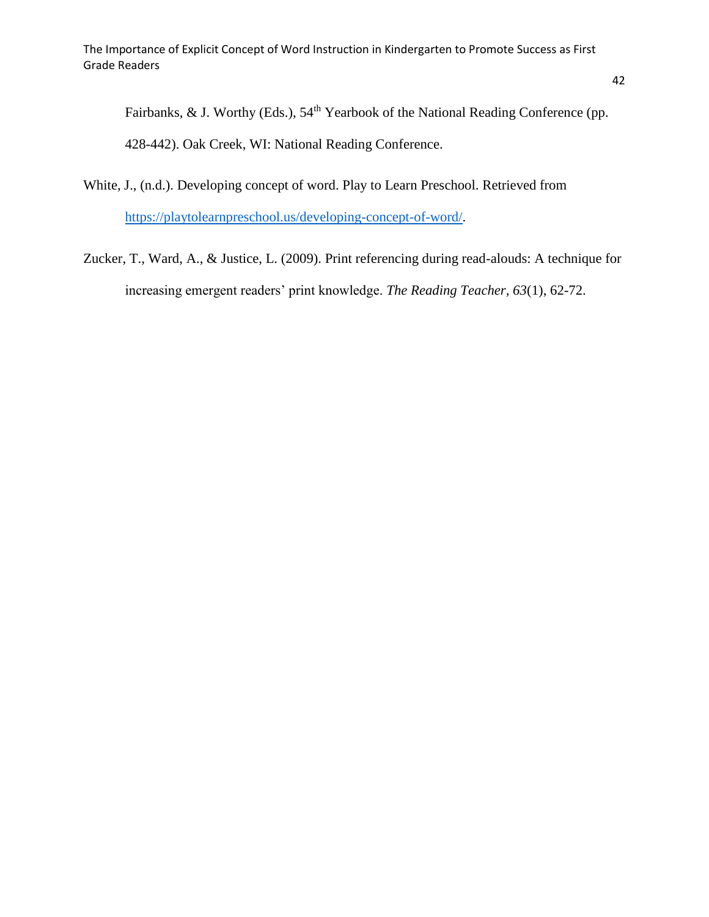Fairbanks, & J. Worthy (Eds.), 54<sup>th</sup> Yearbook of the National Reading Conference (pp.

428-442). Oak Creek, WI: National Reading Conference.

White, J., (n.d.). Developing concept of word. Play to Learn Preschool. Retrieved from [https://playtolearnpreschool.us/developing-concept-of-word/.](https://playtolearnpreschool.us/developing-concept-of-word/)

Zucker, T., Ward, A., & Justice, L. (2009). Print referencing during read-alouds: A technique for increasing emergent readers' print knowledge. *The Reading Teacher, 63*(1), 62-72.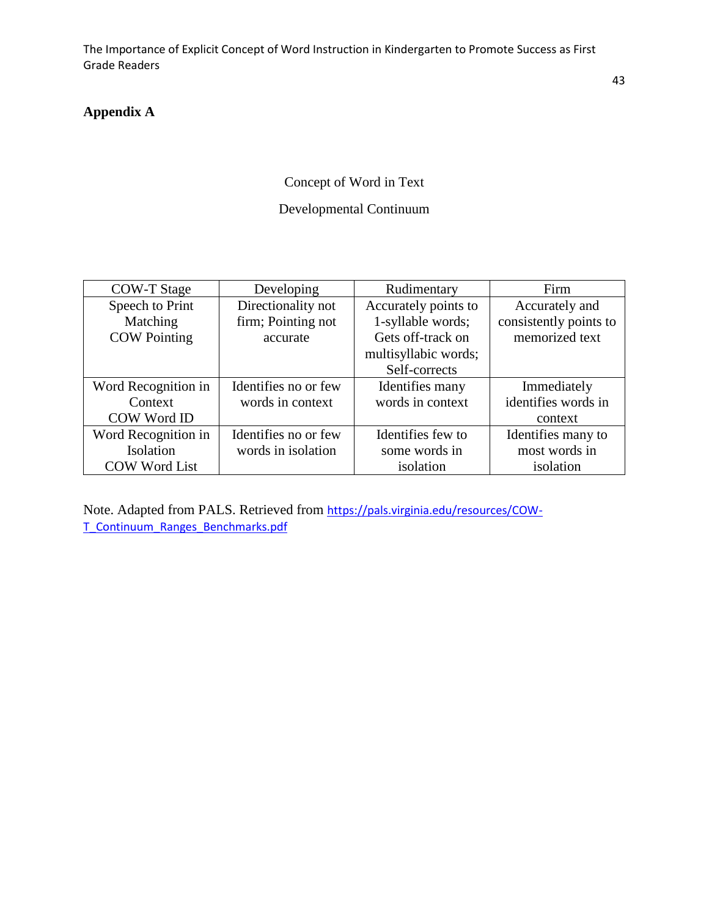# <span id="page-43-0"></span>**Appendix A**

# Concept of Word in Text

# Developmental Continuum

| <b>COW-T Stage</b>   | Developing           | Rudimentary          | Firm                   |  |
|----------------------|----------------------|----------------------|------------------------|--|
| Speech to Print      | Directionality not   |                      | Accurately and         |  |
| Matching             | firm; Pointing not   | 1-syllable words;    | consistently points to |  |
| <b>COW</b> Pointing  | accurate             | Gets off-track on    | memorized text         |  |
|                      |                      | multisyllabic words; |                        |  |
|                      |                      | Self-corrects        |                        |  |
| Word Recognition in  | Identifies no or few | Identifies many      | Immediately            |  |
| Context              | words in context     | words in context     | identifies words in    |  |
| COW Word ID          |                      |                      | context                |  |
| Word Recognition in  | Identifies no or few | Identifies few to    | Identifies many to     |  |
| Isolation            | words in isolation   | some words in        | most words in          |  |
| <b>COW Word List</b> |                      | isolation            | isolation              |  |

Note. Adapted from PALS. Retrieved from [https://pals.virginia.edu/resources/COW-](https://pals.virginia.edu/resources/COW-T_Continuum_Ranges_Benchmarks.pdf)[T\\_Continuum\\_Ranges\\_Benchmarks.pdf](https://pals.virginia.edu/resources/COW-T_Continuum_Ranges_Benchmarks.pdf)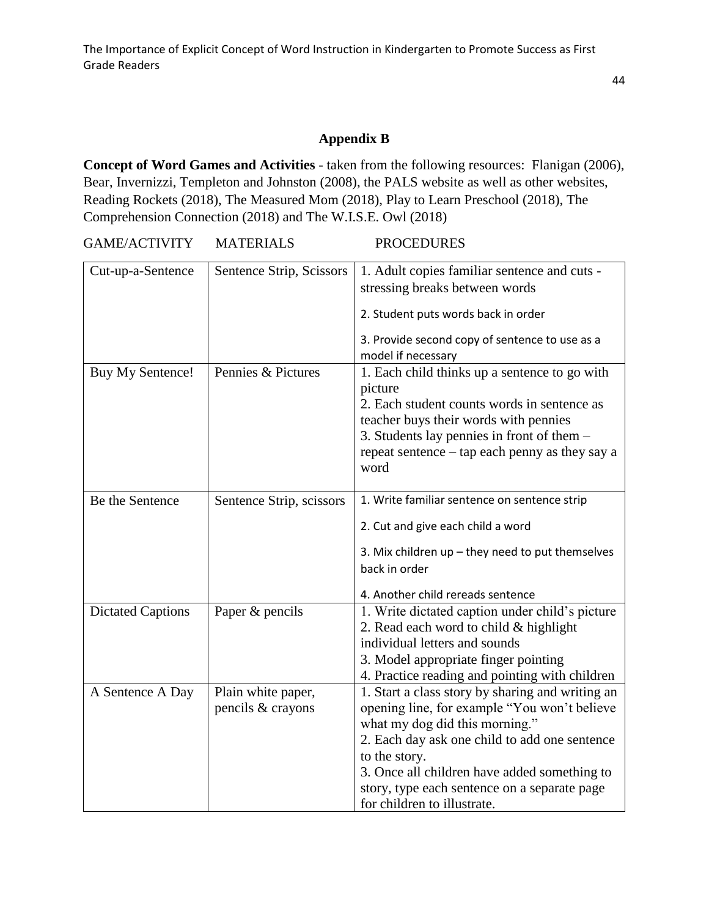## **Appendix B**

**Concept of Word Games and Activities** - taken from the following resources: Flanigan (2006), Bear, Invernizzi, Templeton and Johnston (2008), the PALS website as well as other websites, Reading Rockets (2018), The Measured Mom (2018), Play to Learn Preschool (2018), The Comprehension Connection (2018) and The W.I.S.E. Owl (2018)

GAME/ACTIVITY MATERIALS PROCEDURES

| Cut-up-a-Sentence        | Sentence Strip, Scissors | 1. Adult copies familiar sentence and cuts -<br>stressing breaks between words |
|--------------------------|--------------------------|--------------------------------------------------------------------------------|
|                          |                          | 2. Student puts words back in order                                            |
|                          |                          | 3. Provide second copy of sentence to use as a<br>model if necessary           |
| Buy My Sentence!         | Pennies & Pictures       | 1. Each child thinks up a sentence to go with<br>picture                       |
|                          |                          | 2. Each student counts words in sentence as                                    |
|                          |                          | teacher buys their words with pennies                                          |
|                          |                          | 3. Students lay pennies in front of them $-$                                   |
|                          |                          | repeat sentence – tap each penny as they say a                                 |
|                          |                          | word                                                                           |
|                          |                          |                                                                                |
| Be the Sentence          | Sentence Strip, scissors | 1. Write familiar sentence on sentence strip                                   |
|                          |                          | 2. Cut and give each child a word                                              |
|                          |                          | 3. Mix children up - they need to put themselves                               |
|                          |                          | back in order                                                                  |
|                          |                          | 4. Another child rereads sentence                                              |
| <b>Dictated Captions</b> | Paper & pencils          | 1. Write dictated caption under child's picture                                |
|                          |                          | 2. Read each word to child $&$ highlight                                       |
|                          |                          | individual letters and sounds                                                  |
|                          |                          | 3. Model appropriate finger pointing                                           |
|                          |                          | 4. Practice reading and pointing with children                                 |
| A Sentence A Day         | Plain white paper,       | 1. Start a class story by sharing and writing an                               |
|                          | pencils & crayons        | opening line, for example "You won't believe                                   |
|                          |                          | what my dog did this morning."                                                 |
|                          |                          | 2. Each day ask one child to add one sentence                                  |
|                          |                          | to the story.                                                                  |
|                          |                          | 3. Once all children have added something to                                   |
|                          |                          | story, type each sentence on a separate page                                   |
|                          |                          | for children to illustrate.                                                    |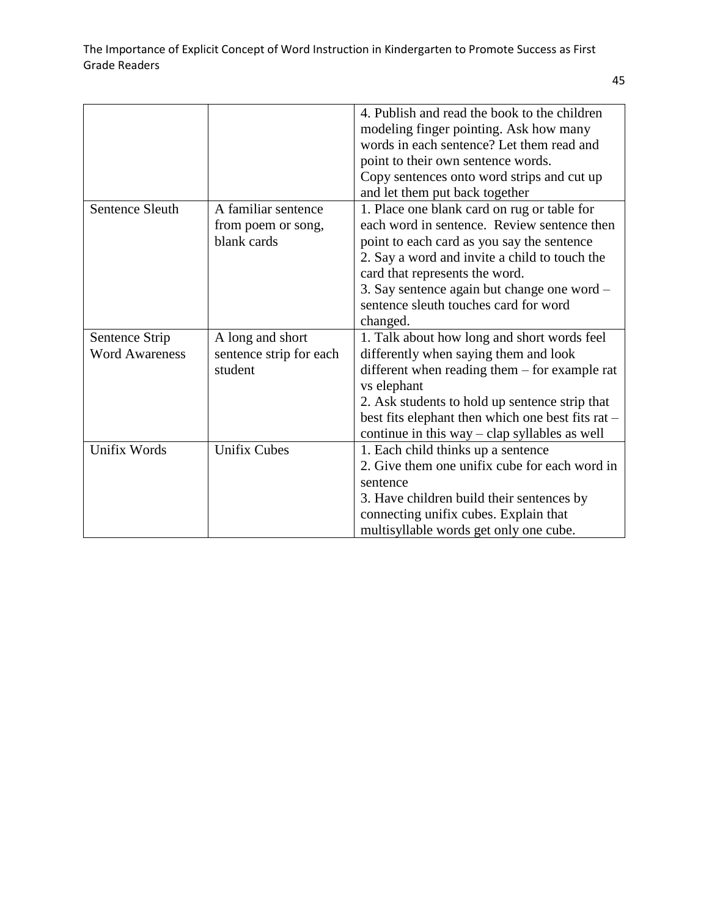| 4. Publish and read the book to the children      |
|---------------------------------------------------|
| modeling finger pointing. Ask how many            |
| words in each sentence? Let them read and         |
| point to their own sentence words.                |
| Copy sentences onto word strips and cut up        |
|                                                   |
| 1. Place one blank card on rug or table for       |
| each word in sentence. Review sentence then       |
| point to each card as you say the sentence        |
| 2. Say a word and invite a child to touch the     |
|                                                   |
| 3. Say sentence again but change one word -       |
| sentence sleuth touches card for word             |
|                                                   |
| 1. Talk about how long and short words feel       |
| differently when saying them and look             |
| different when reading them $-$ for example rat   |
|                                                   |
| 2. Ask students to hold up sentence strip that    |
| best fits elephant then which one best fits rat - |
| continue in this way $-$ clap syllables as well   |
| 1. Each child thinks up a sentence                |
| 2. Give them one unifix cube for each word in     |
|                                                   |
| 3. Have children build their sentences by         |
| connecting unifix cubes. Explain that             |
| multisyllable words get only one cube.            |
|                                                   |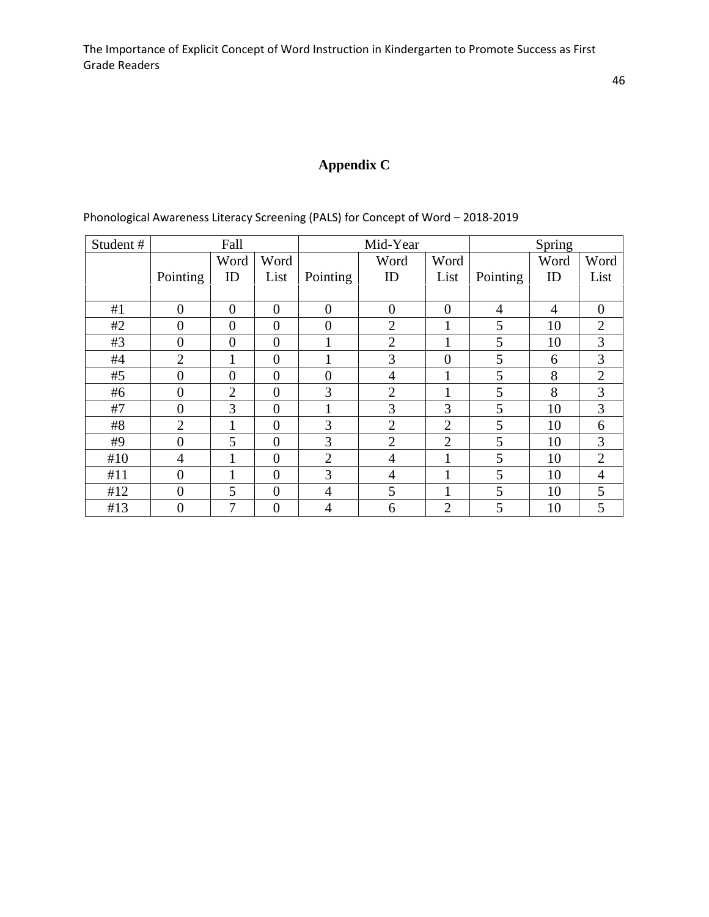# **Appendix C**

| Student# |                | Fall           |                  |                | Mid-Year         |                |                | Spring         |                |
|----------|----------------|----------------|------------------|----------------|------------------|----------------|----------------|----------------|----------------|
|          |                | Word           | Word             |                | Word             | Word           |                | Word           | Word           |
|          | Pointing       | ID             | List             | Pointing       | ID               | List           | Pointing       | ID             | List           |
|          |                |                |                  |                |                  |                |                |                |                |
| #1       | $\overline{0}$ | $\theta$       | $\overline{0}$   | $\overline{0}$ | $\boldsymbol{0}$ | $\overline{0}$ | $\overline{4}$ | $\overline{4}$ | $\overline{0}$ |
| #2       | $\overline{0}$ | $\overline{0}$ | $\overline{0}$   | $\overline{0}$ | $\overline{2}$   | 1              | 5              | 10             | $\overline{2}$ |
| #3       | $\overline{0}$ | $\overline{0}$ | $\overline{0}$   |                | $\overline{2}$   | $\mathbf{1}$   | 5              | 10             | 3              |
| #4       | $\overline{2}$ | 1              | $\overline{0}$   |                | 3                | $\overline{0}$ | 5              | 6              | 3              |
| #5       | $\overline{0}$ | $\overline{0}$ | $\overline{0}$   | $\overline{0}$ | $\overline{4}$   | 1              | 5              | 8              | $\overline{2}$ |
| #6       | $\overline{0}$ | $\overline{2}$ | $\overline{0}$   | 3              | $\overline{2}$   | 1              | 5              | 8              | $\overline{3}$ |
| #7       | $\overline{0}$ | 3              | $\boldsymbol{0}$ |                | 3                | 3              | 5              | 10             | 3              |
| #8       | $\overline{2}$ | 1              | $\overline{0}$   | 3              | $\overline{2}$   | $\overline{2}$ | 5              | 10             | 6              |
| #9       | $\overline{0}$ | 5              | $\overline{0}$   | 3              | $\overline{2}$   | $\overline{2}$ | 5              | 10             | 3              |
| #10      | 4              |                | $\overline{0}$   | $\overline{2}$ | $\overline{4}$   | 1              | 5              | 10             | $\overline{2}$ |
| #11      | $\overline{0}$ | 1              | $\boldsymbol{0}$ | 3              | $\overline{4}$   | 1              | 5              | 10             | $\overline{4}$ |
| #12      | $\overline{0}$ | 5              | $\overline{0}$   | 4              | 5                | 1              | 5              | 10             | 5              |
| #13      | $\overline{0}$ | 7              | $\overline{0}$   | $\overline{4}$ | 6                | $\overline{2}$ | 5              | 10             | 5              |

Phonological Awareness Literacy Screening (PALS) for Concept of Word – 2018-2019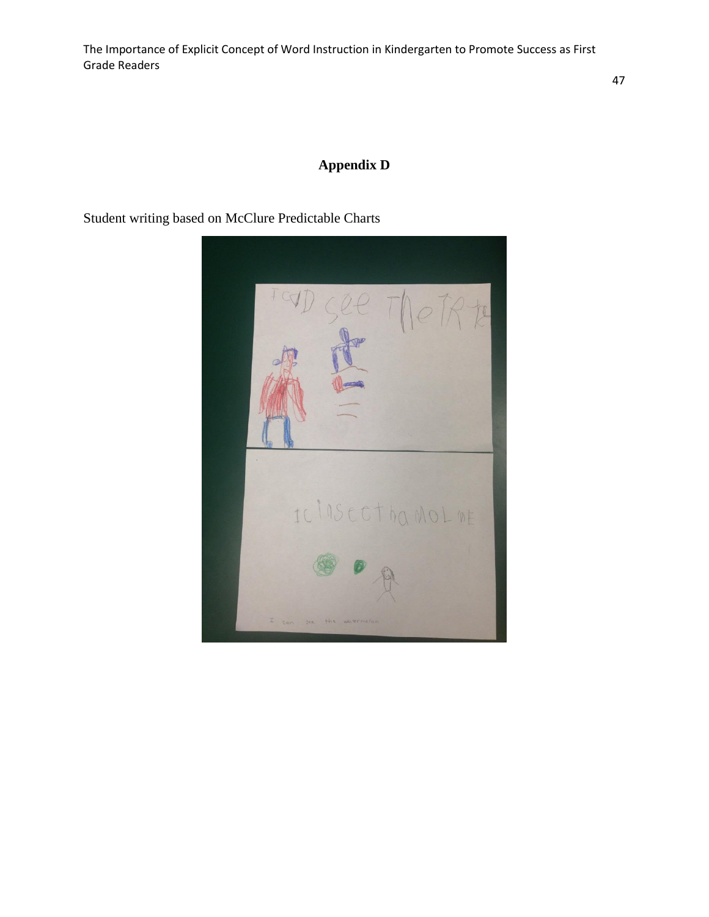# **Appendix D**

Student writing based on McClure Predictable Charts

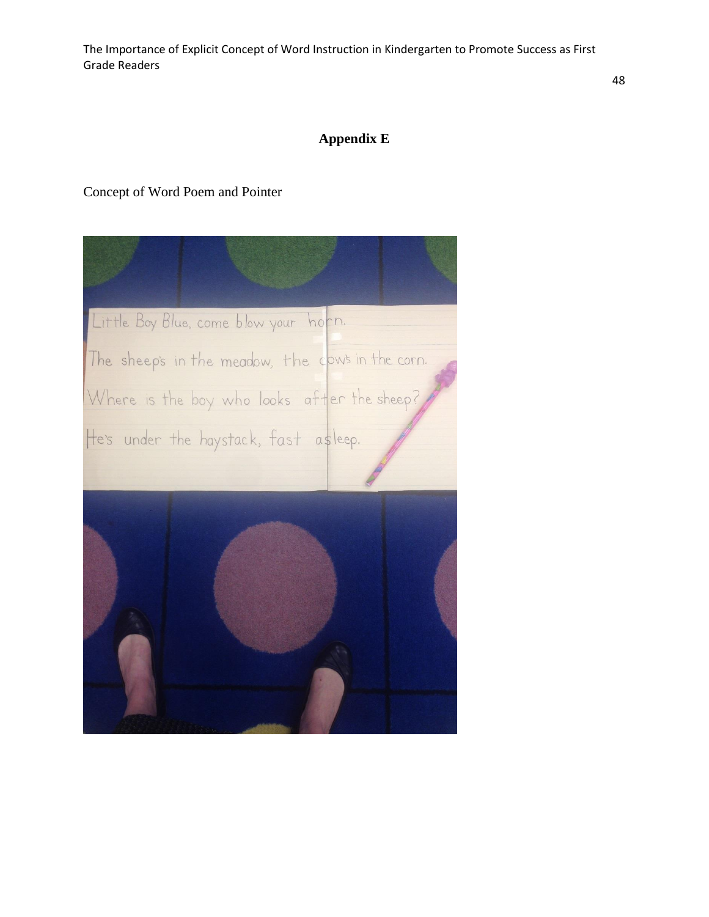# **Appendix E**

## Concept of Word Poem and Pointer

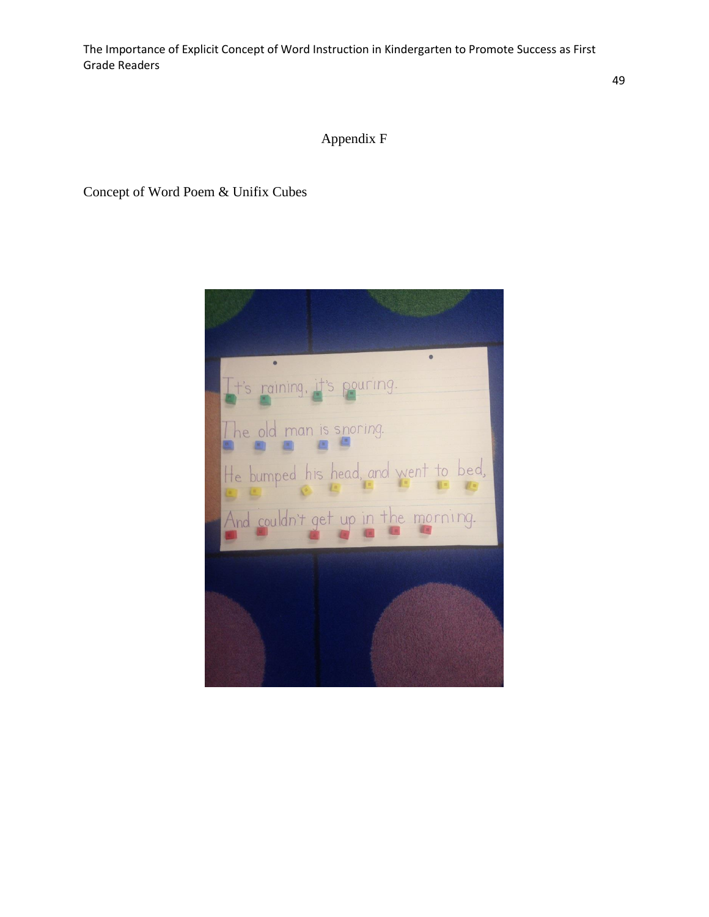Appendix F

Concept of Word Poem & Unifix Cubes